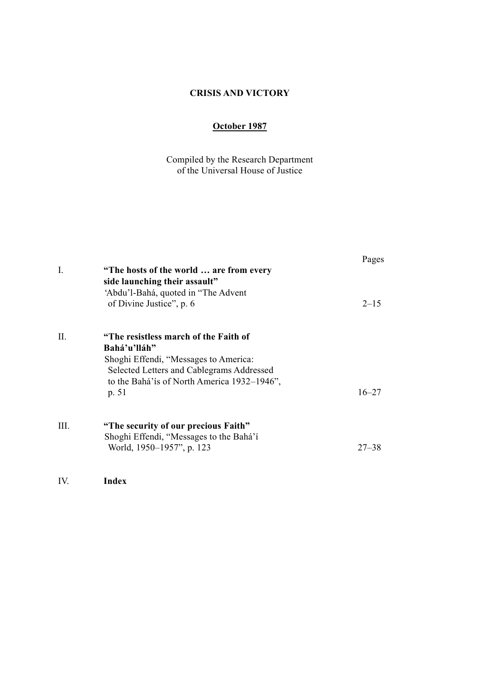# **CRISIS AND VICTORY**

# **October 1987**

Compiled by the Research Department of the Universal House of Justice

| I.   | "The hosts of the world  are from every<br>side launching their assault"<br>'Abdu'l-Bahá, quoted in "The Advent"<br>of Divine Justice", p. 6                                                        | Pages<br>$2 - 15$ |
|------|-----------------------------------------------------------------------------------------------------------------------------------------------------------------------------------------------------|-------------------|
| II.  | "The resistless march of the Faith of<br>Bahá'u'lláh"<br>Shoghi Effendi, "Messages to America:<br>Selected Letters and Cablegrams Addressed<br>to the Bahá'ís of North America 1932-1946",<br>p. 51 | $16 - 27$         |
| III. | "The security of our precious Faith"<br>Shoghi Effendi, "Messages to the Bahá'í<br>World, 1950–1957", p. 123                                                                                        | $27 - 38$         |

IV. **Index**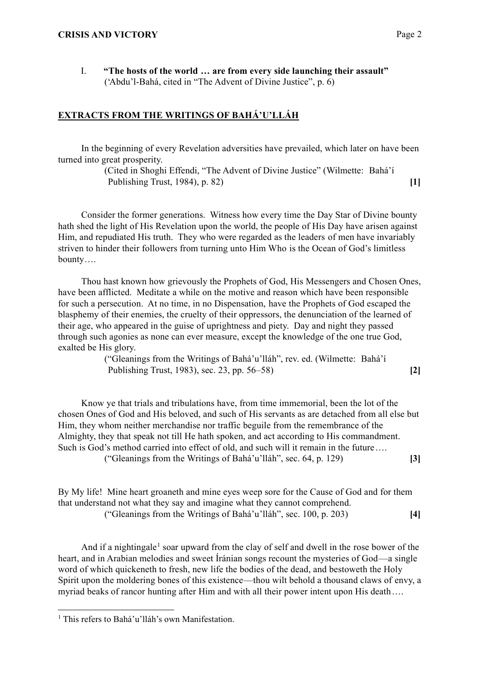I. **"The hosts of the world … are from every side launching their assault"** ('Abdu'l-Bahá, cited in "The Advent of Divine Justice", p. 6)

# **EXTRACTS FROM THE WRITINGS OF BAHÁ'U'LLÁH**

In the beginning of every Revelation adversities have prevailed, which later on have been turned into great prosperity.

> (Cited in Shoghi Effendi, "The Advent of Divine Justice" (Wilmette: Bahá'í Publishing Trust, 1984), p. 82) **[1]**

Consider the former generations. Witness how every time the Day Star of Divine bounty hath shed the light of His Revelation upon the world, the people of His Day have arisen against Him, and repudiated His truth. They who were regarded as the leaders of men have invariably striven to hinder their followers from turning unto Him Who is the Ocean of God's limitless bounty….

Thou hast known how grievously the Prophets of God, His Messengers and Chosen Ones, have been afflicted. Meditate a while on the motive and reason which have been responsible for such a persecution. At no time, in no Dispensation, have the Prophets of God escaped the blasphemy of their enemies, the cruelty of their oppressors, the denunciation of the learned of their age, who appeared in the guise of uprightness and piety. Day and night they passed through such agonies as none can ever measure, except the knowledge of the one true God, exalted be His glory.

> ("Gleanings from the Writings of Bahá'u'lláh", rev. ed. (Wilmette: Bahá'í Publishing Trust, 1983), sec. 23, pp. 56–58) **[2]**

Know ye that trials and tribulations have, from time immemorial, been the lot of the chosen Ones of God and His beloved, and such of His servants as are detached from all else but Him, they whom neither merchandise nor traffic beguile from the remembrance of the Almighty, they that speak not till He hath spoken, and act according to His commandment. Such is God's method carried into effect of old, and such will it remain in the future…. ("Gleanings from the Writings of Bahá'u'lláh", sec. 64, p. 129) **[3]**

By My life! Mine heart groaneth and mine eyes weep sore for the Cause of God and for them that understand not what they say and imagine what they cannot comprehend. ("Gleanings from the Writings of Bahá'u'lláh", sec. 100, p. 203) **[4]**

And if a nightingale<sup>1</sup> soar upward from the clay of self and dwell in the rose bower of the heart, and in Arabian melodies and sweet Íránian songs recount the mysteries of God—a single word of which quickeneth to fresh, new life the bodies of the dead, and bestoweth the Holy Spirit upon the moldering bones of this existence—thou wilt behold a thousand claws of envy, a myriad beaks of rancor hunting after Him and with all their power intent upon His death….

<sup>1</sup> This refers to Bahá'u'lláh's own Manifestation.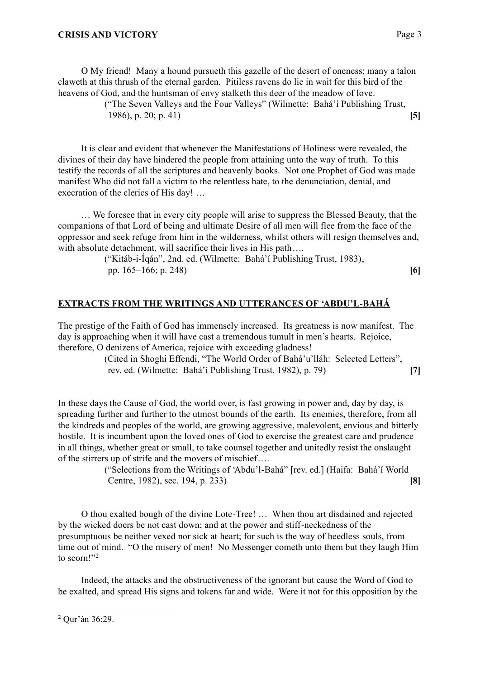O My friend! Many a hound pursueth this gazelle of the desert of oneness; many a talon claweth at this thrush of the eternal garden. Pitiless ravens do lie in wait for this bird of the heavens of God, and the huntsman of envy stalketh this deer of the meadow of love.

> ("The Seven Valleys and the Four Valleys" (Wilmette: Bahá'í Publishing Trust, 1986), p. 20; p. 41) **[5]**

It is clear and evident that whenever the Manifestations of Holiness were revealed, the divines of their day have hindered the people from attaining unto the way of truth. To this testify the records of all the scriptures and heavenly books. Not one Prophet of God was made manifest Who did not fall a victim to the relentless hate, to the denunciation, denial, and execration of the clerics of His day! …

… We foresee that in every city people will arise to suppress the Blessed Beauty, that the companions of that Lord of being and ultimate Desire of all men will flee from the face of the oppressor and seek refuge from him in the wilderness, whilst others will resign themselves and, with absolute detachment, will sacrifice their lives in His path....

("Kitáb-i-Íqán", 2nd. ed. (Wilmette: Bahá'í Publishing Trust, 1983), pp. 165–166; p. 248) **[6]**

# **EXTRACTS FROM THE WRITINGS AND UTTERANCES OF 'ABDU'L-BAHÁ**

The prestige of the Faith of God has immensely increased. Its greatness is now manifest. The day is approaching when it will have cast a tremendous tumult in men's hearts. Rejoice, therefore, O denizens of America, rejoice with exceeding gladness!

> (Cited in Shoghi Effendi, "The World Order of Bahá'u'lláh: Selected Letters", rev. ed. (Wilmette: Bahá'í Publishing Trust, 1982), p. 79) **[7]**

In these days the Cause of God, the world over, is fast growing in power and, day by day, is spreading further and further to the utmost bounds of the earth. Its enemies, therefore, from all the kindreds and peoples of the world, are growing aggressive, malevolent, envious and bitterly hostile. It is incumbent upon the loved ones of God to exercise the greatest care and prudence in all things, whether great or small, to take counsel together and unitedly resist the onslaught of the stirrers up of strife and the movers of mischief….

> ("Selections from the Writings of 'Abdu'l-Bahá" [rev. ed.] (Haifa: Bahá'í World Centre, 1982), sec. 194, p. 233) **[8]**

O thou exalted bough of the divine Lote-Tree! … When thou art disdained and rejected by the wicked doers be not cast down; and at the power and stiff-neckedness of the presumptuous be neither vexed nor sick at heart; for such is the way of heedless souls, from time out of mind. "O the misery of men! No Messenger cometh unto them but they laugh Him to scorn!"<sup>2</sup>

Indeed, the attacks and the obstructiveness of the ignorant but cause the Word of God to be exalted, and spread His signs and tokens far and wide. Were it not for this opposition by the

<sup>2</sup> Qur'án 36:29.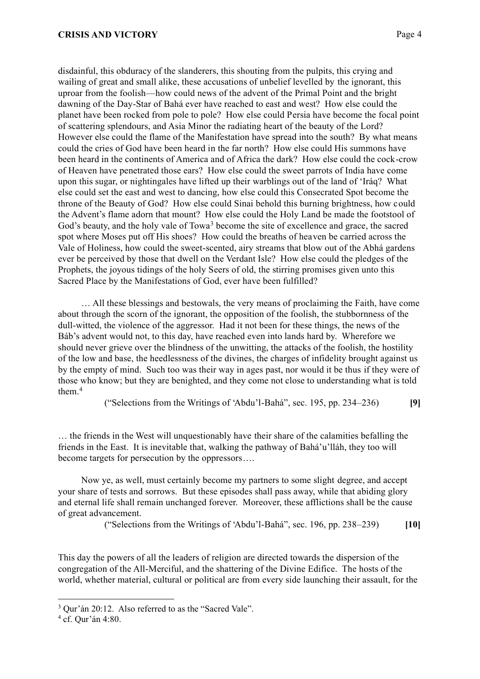disdainful, this obduracy of the slanderers, this shouting from the pulpits, this crying and wailing of great and small alike, these accusations of unbelief levelled by the ignorant, this uproar from the foolish—how could news of the advent of the Primal Point and the bright dawning of the Day-Star of Bahá ever have reached to east and west? How else could the planet have been rocked from pole to pole? How else could Persia have become the focal point of scattering splendours, and Asia Minor the radiating heart of the beauty of the Lord? However else could the flame of the Manifestation have spread into the south? By what means could the cries of God have been heard in the far north? How else could His summons have been heard in the continents of America and of Africa the dark? How else could the cock-crow of Heaven have penetrated those ears? How else could the sweet parrots of India have come upon this sugar, or nightingales have lifted up their warblings out of the land of 'Iráq? What else could set the east and west to dancing, how else could this Consecrated Spot become the throne of the Beauty of God? How else could Sinai behold this burning brightness, how could the Advent's flame adorn that mount? How else could the Holy Land be made the footstool of God's beauty, and the holy vale of Towa<sup>3</sup> become the site of excellence and grace, the sacred spot where Moses put off His shoes? How could the breaths of heaven be carried across the Vale of Holiness, how could the sweet-scented, airy streams that blow out of the Abhá gardens ever be perceived by those that dwell on the Verdant Isle? How else could the pledges of the Prophets, the joyous tidings of the holy Seers of old, the stirring promises given unto this Sacred Place by the Manifestations of God, ever have been fulfilled?

… All these blessings and bestowals, the very means of proclaiming the Faith, have come about through the scorn of the ignorant, the opposition of the foolish, the stubbornness of the dull-witted, the violence of the aggressor. Had it not been for these things, the news of the Báb's advent would not, to this day, have reached even into lands hard by. Wherefore we should never grieve over the blindness of the unwitting, the attacks of the foolish, the hostility of the low and base, the heedlessness of the divines, the charges of infidelity brought against us by the empty of mind. Such too was their way in ages past, nor would it be thus if they were of those who know; but they are benighted, and they come not close to understanding what is told them.<sup>4</sup>

("Selections from the Writings of 'Abdu'l-Bahá", sec. 195, pp. 234–236) **[9]**

… the friends in the West will unquestionably have their share of the calamities befalling the friends in the East. It is inevitable that, walking the pathway of Bahá'u'lláh, they too will become targets for persecution by the oppressors….

Now ye, as well, must certainly become my partners to some slight degree, and accept your share of tests and sorrows. But these episodes shall pass away, while that abiding glory and eternal life shall remain unchanged forever. Moreover, these afflictions shall be the cause of great advancement.

("Selections from the Writings of 'Abdu'l-Bahá", sec. 196, pp. 238–239) **[10]**

This day the powers of all the leaders of religion are directed towards the dispersion of the congregation of the All-Merciful, and the shattering of the Divine Edifice. The hosts of the world, whether material, cultural or political are from every side launching their assault, for the

<sup>3</sup> Qur'án 20:12. Also referred to as the "Sacred Vale".

<sup>4</sup> cf. Qur'án 4:80.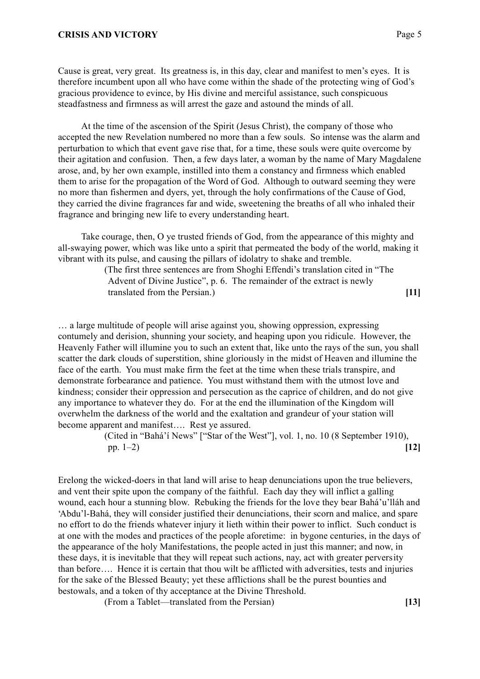Cause is great, very great. Its greatness is, in this day, clear and manifest to men's eyes. It is therefore incumbent upon all who have come within the shade of the protecting wing of God's gracious providence to evince, by His divine and merciful assistance, such conspicuous steadfastness and firmness as will arrest the gaze and astound the minds of all.

At the time of the ascension of the Spirit (Jesus Christ), the company of those who accepted the new Revelation numbered no more than a few souls. So intense was the alarm and perturbation to which that event gave rise that, for a time, these souls were quite overcome by their agitation and confusion. Then, a few days later, a woman by the name of Mary Magdalene arose, and, by her own example, instilled into them a constancy and firmness which enabled them to arise for the propagation of the Word of God. Although to outward seeming they were no more than fishermen and dyers, yet, through the holy confirmations of the Cause of God, they carried the divine fragrances far and wide, sweetening the breaths of all who inhaled their fragrance and bringing new life to every understanding heart.

Take courage, then, O ye trusted friends of God, from the appearance of this mighty and all-swaying power, which was like unto a spirit that permeated the body of the world, making it vibrant with its pulse, and causing the pillars of idolatry to shake and tremble.

> (The first three sentences are from Shoghi Effendi's translation cited in "The Advent of Divine Justice", p. 6. The remainder of the extract is newly translated from the Persian.) **[11]**

… a large multitude of people will arise against you, showing oppression, expressing contumely and derision, shunning your society, and heaping upon you ridicule. However, the Heavenly Father will illumine you to such an extent that, like unto the rays of the sun, you shall scatter the dark clouds of superstition, shine gloriously in the midst of Heaven and illumine the face of the earth. You must make firm the feet at the time when these trials transpire, and demonstrate forbearance and patience. You must withstand them with the utmost love and kindness; consider their oppression and persecution as the caprice of children, and do not give any importance to whatever they do. For at the end the illumination of the Kingdom will overwhelm the darkness of the world and the exaltation and grandeur of your station will become apparent and manifest…. Rest ye assured.

> (Cited in "Bahá'í News" ["Star of the West"], vol. 1, no. 10 (8 September 1910), pp. 1–2) **[12]**

Erelong the wicked-doers in that land will arise to heap denunciations upon the true believers, and vent their spite upon the company of the faithful. Each day they will inflict a galling wound, each hour a stunning blow. Rebuking the friends for the love they bear Bahá'u'lláh and 'Abdu'l-Bahá, they will consider justified their denunciations, their scorn and malice, and spare no effort to do the friends whatever injury it lieth within their power to inflict. Such conduct is at one with the modes and practices of the people aforetime: in bygone centuries, in the days of the appearance of the holy Manifestations, the people acted in just this manner; and now, in these days, it is inevitable that they will repeat such actions, nay, act with greater perversity than before…. Hence it is certain that thou wilt be afflicted with adversities, tests and injuries for the sake of the Blessed Beauty; yet these afflictions shall be the purest bounties and bestowals, and a token of thy acceptance at the Divine Threshold.

(From a Tablet—translated from the Persian) **[13]**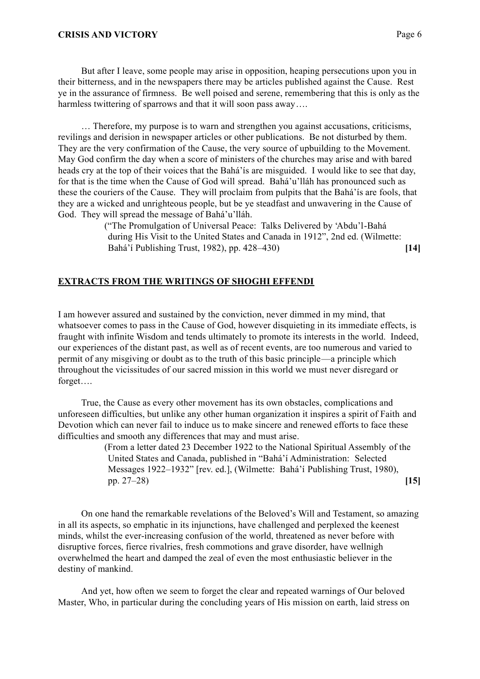But after I leave, some people may arise in opposition, heaping persecutions upon you in their bitterness, and in the newspapers there may be articles published against the Cause. Rest ye in the assurance of firmness. Be well poised and serene, remembering that this is only as the harmless twittering of sparrows and that it will soon pass away....

… Therefore, my purpose is to warn and strengthen you against accusations, criticisms, revilings and derision in newspaper articles or other publications. Be not disturbed by them. They are the very confirmation of the Cause, the very source of upbuilding to the Movement. May God confirm the day when a score of ministers of the churches may arise and with bared heads cry at the top of their voices that the Bahá'ís are misguided. I would like to see that day, for that is the time when the Cause of God will spread. Bahá'u'lláh has pronounced such as these the couriers of the Cause. They will proclaim from pulpits that the Bahá'ís are fools, that they are a wicked and unrighteous people, but be ye steadfast and unwavering in the Cause of God. They will spread the message of Bahá'u'lláh.

> ("The Promulgation of Universal Peace: Talks Delivered by 'Abdu'l-Bahá during His Visit to the United States and Canada in 1912", 2nd ed. (Wilmette: Bahá'í Publishing Trust, 1982), pp. 428–430) **[14]**

# **EXTRACTS FROM THE WRITINGS OF SHOGHI EFFENDI**

I am however assured and sustained by the conviction, never dimmed in my mind, that whatsoever comes to pass in the Cause of God, however disquieting in its immediate effects, is fraught with infinite Wisdom and tends ultimately to promote its interests in the world. Indeed, our experiences of the distant past, as well as of recent events, are too numerous and varied to permit of any misgiving or doubt as to the truth of this basic principle—a principle which throughout the vicissitudes of our sacred mission in this world we must never disregard or forget….

True, the Cause as every other movement has its own obstacles, complications and unforeseen difficulties, but unlike any other human organization it inspires a spirit of Faith and Devotion which can never fail to induce us to make sincere and renewed efforts to face these difficulties and smooth any differences that may and must arise.

> (From a letter dated 23 December 1922 to the National Spiritual Assembly of the United States and Canada, published in "Bahá'í Administration: Selected Messages 1922–1932" [rev. ed.], (Wilmette: Bahá'í Publishing Trust, 1980), pp. 27–28) **[15]**

On one hand the remarkable revelations of the Beloved's Will and Testament, so amazing in all its aspects, so emphatic in its injunctions, have challenged and perplexed the keenest minds, whilst the ever-increasing confusion of the world, threatened as never before with disruptive forces, fierce rivalries, fresh commotions and grave disorder, have wellnigh overwhelmed the heart and damped the zeal of even the most enthusiastic believer in the destiny of mankind.

And yet, how often we seem to forget the clear and repeated warnings of Our beloved Master, Who, in particular during the concluding years of His mission on earth, laid stress on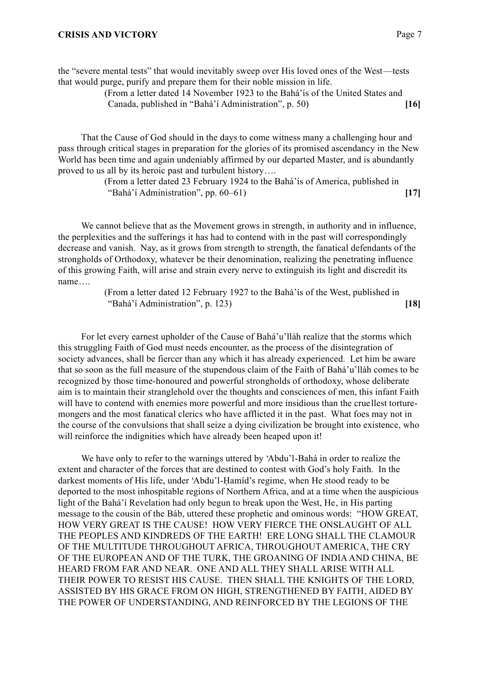the "severe mental tests" that would inevitably sweep over His loved ones of the West—tests that would purge, purify and prepare them for their noble mission in life.

> (From a letter dated 14 November 1923 to the Bahá'ís of the United States and Canada, published in "Bahá'í Administration", p. 50) **[16]**

That the Cause of God should in the days to come witness many a challenging hour and pass through critical stages in preparation for the glories of its promised ascendancy in the New World has been time and again undeniably affirmed by our departed Master, and is abundantly proved to us all by its heroic past and turbulent history….

> (From a letter dated 23 February 1924 to the Bahá'ís of America, published in "Bahá'í Administration", pp. 60–61) **[17]**

We cannot believe that as the Movement grows in strength, in authority and in influence, the perplexities and the sufferings it has had to contend with in the past will correspondingly decrease and vanish. Nay, as it grows from strength to strength, the fanatical defendants of the strongholds of Orthodoxy, whatever be their denomination, realizing the penetrating influence of this growing Faith, will arise and strain every nerve to extinguish its light and discredit its name….

> (From a letter dated 12 February 1927 to the Bahá'ís of the West, published in "Bahá'í Administration", p. 123) **[18]**

For let every earnest upholder of the Cause of Bahá'u'lláh realize that the storms which this struggling Faith of God must needs encounter, as the process of the disintegration of society advances, shall be fiercer than any which it has already experienced. Let him be aware that so soon as the full measure of the stupendous claim of the Faith of Bahá'u'lláh comes to be recognized by those time-honoured and powerful strongholds of orthodoxy, whose deliberate aim is to maintain their stranglehold over the thoughts and consciences of men, this infant Faith will have to contend with enemies more powerful and more insidious than the cruellest torturemongers and the most fanatical clerics who have afflicted it in the past. What foes may not in the course of the convulsions that shall seize a dying civilization be brought into existence, who will reinforce the indignities which have already been heaped upon it!

We have only to refer to the warnings uttered by 'Abdu'l-Bahá in order to realize the extent and character of the forces that are destined to contest with God's holy Faith. In the darkest moments of His life, under 'Abdu'l-Ḥamíd's regime, when He stood ready to be deported to the most inhospitable regions of Northern Africa, and at a time when the auspicious light of the Bahá'í Revelation had only begun to break upon the West, He, in His parting message to the cousin of the Báb, uttered these prophetic and ominous words: "HOW GREAT, HOW VERY GREAT IS THE CAUSE! HOW VERY FIERCE THE ONSLAUGHT OF ALL THE PEOPLES AND KINDREDS OF THE EARTH! ERE LONG SHALL THE CLAMOUR OF THE MULTITUDE THROUGHOUT AFRICA, THROUGHOUT AMERICA, THE CRY OF THE EUROPEAN AND OF THE TURK, THE GROANING OF INDIA AND CHINA, BE HEARD FROM FAR AND NEAR. ONE AND ALL THEY SHALL ARISE WITH ALL THEIR POWER TO RESIST HIS CAUSE. THEN SHALL THE KNIGHTS OF THE LORD, ASSISTED BY HIS GRACE FROM ON HIGH, STRENGTHENED BY FAITH, AIDED BY THE POWER OF UNDERSTANDING, AND REINFORCED BY THE LEGIONS OF THE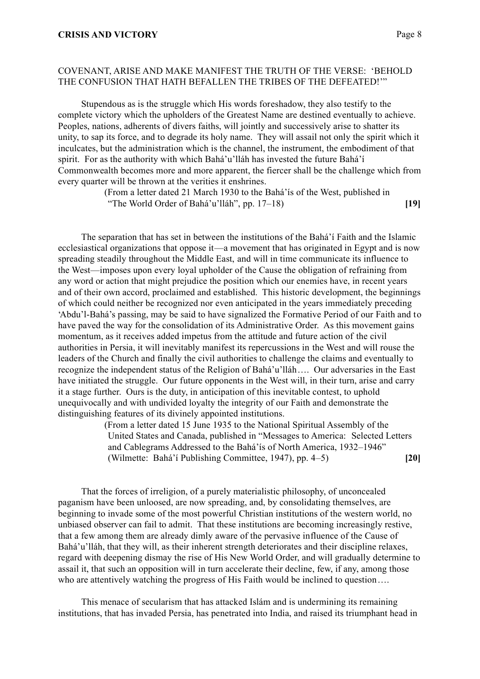#### COVENANT, ARISE AND MAKE MANIFEST THE TRUTH OF THE VERSE: 'BEHOLD THE CONFUSION THAT HATH BEFALLEN THE TRIBES OF THE DEFEATED!'"

Stupendous as is the struggle which His words foreshadow, they also testify to the complete victory which the upholders of the Greatest Name are destined eventually to achieve. Peoples, nations, adherents of divers faiths, will jointly and successively arise to shatter its unity, to sap its force, and to degrade its holy name. They will assail not only the spirit which it inculcates, but the administration which is the channel, the instrument, the embodiment of that spirit. For as the authority with which Bahá'u'lláh has invested the future Bahá'í Commonwealth becomes more and more apparent, the fiercer shall be the challenge which from every quarter will be thrown at the verities it enshrines.

> (From a letter dated 21 March 1930 to the Bahá'ís of the West, published in "The World Order of Bahá'u'lláh", pp. 17–18) **[19]**

The separation that has set in between the institutions of the Bahá'í Faith and the Islamic ecclesiastical organizations that oppose it—a movement that has originated in Egypt and is now spreading steadily throughout the Middle East, and will in time communicate its influence to the West—imposes upon every loyal upholder of the Cause the obligation of refraining from any word or action that might prejudice the position which our enemies have, in recent years and of their own accord, proclaimed and established. This historic development, the beginnings of which could neither be recognized nor even anticipated in the years immediately preceding 'Abdu'l-Bahá's passing, may be said to have signalized the Formative Period of our Faith and to have paved the way for the consolidation of its Administrative Order. As this movement gains momentum, as it receives added impetus from the attitude and future action of the civil authorities in Persia, it will inevitably manifest its repercussions in the West and will rouse the leaders of the Church and finally the civil authorities to challenge the claims and eventually to recognize the independent status of the Religion of Bahá'u'lláh…. Our adversaries in the East have initiated the struggle. Our future opponents in the West will, in their turn, arise and carry it a stage further. Ours is the duty, in anticipation of this inevitable contest, to uphold unequivocally and with undivided loyalty the integrity of our Faith and demonstrate the distinguishing features of its divinely appointed institutions.

> (From a letter dated 15 June 1935 to the National Spiritual Assembly of the United States and Canada, published in "Messages to America: Selected Letters and Cablegrams Addressed to the Bahá'ís of North America, 1932–1946" (Wilmette: Bahá'í Publishing Committee, 1947), pp. 4–5) **[20]**

That the forces of irreligion, of a purely materialistic philosophy, of unconcealed paganism have been unloosed, are now spreading, and, by consolidating themselves, are beginning to invade some of the most powerful Christian institutions of the western world, no unbiased observer can fail to admit. That these institutions are becoming increasingly restive, that a few among them are already dimly aware of the pervasive influence of the Cause of Bahá'u'lláh, that they will, as their inherent strength deteriorates and their discipline relaxes, regard with deepening dismay the rise of His New World Order, and will gradually determine to assail it, that such an opposition will in turn accelerate their decline, few, if any, among those who are attentively watching the progress of His Faith would be inclined to question...

This menace of secularism that has attacked Islám and is undermining its remaining institutions, that has invaded Persia, has penetrated into India, and raised its triumphant head in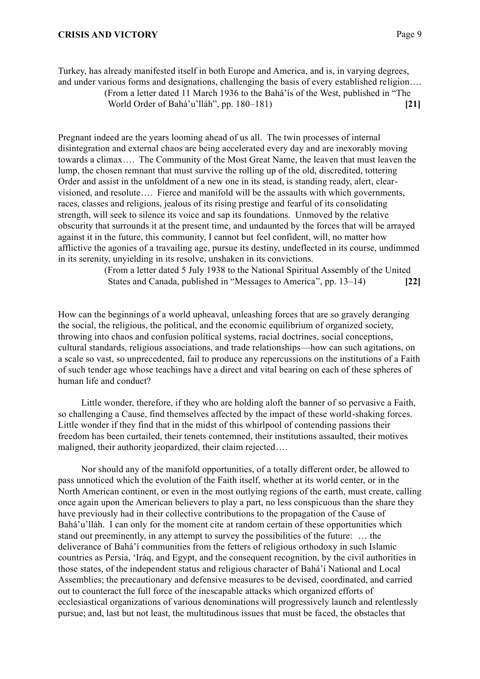Turkey, has already manifested itself in both Europe and America, and is, in varying degrees, and under various forms and designations, challenging the basis of every established religion….

(From a letter dated 11 March 1936 to the Bahá'ís of the West, published in "The World Order of Bahá'u'lláh", pp. 180–181) **[21]**

Pregnant indeed are the years looming ahead of us all. The twin processes of internal disintegration and external chaos are being accelerated every day and are inexorably moving towards a climax…. The Community of the Most Great Name, the leaven that must leaven the lump, the chosen remnant that must survive the rolling up of the old, discredited, tottering Order and assist in the unfoldment of a new one in its stead, is standing ready, alert, clearvisioned, and resolute…. Fierce and manifold will be the assaults with which governments, races, classes and religions, jealous of its rising prestige and fearful of its consolidating strength, will seek to silence its voice and sap its foundations. Unmoved by the relative obscurity that surrounds it at the present time, and undaunted by the forces that will be arrayed against it in the future, this community, I cannot but feel confident, will, no matter how afflictive the agonies of a travailing age, pursue its destiny, undeflected in its course, undimmed in its serenity, unyielding in its resolve, unshaken in its convictions.

> (From a letter dated 5 July 1938 to the National Spiritual Assembly of the United States and Canada, published in "Messages to America", pp. 13–14) **[22]**

How can the beginnings of a world upheaval, unleashing forces that are so gravely deranging the social, the religious, the political, and the economic equilibrium of organized society, throwing into chaos and confusion political systems, racial doctrines, social conceptions, cultural standards, religious associations, and trade relationships—how can such agitations, on a scale so vast, so unprecedented, fail to produce any repercussions on the institutions of a Faith of such tender age whose teachings have a direct and vital bearing on each of these spheres of human life and conduct?

Little wonder, therefore, if they who are holding aloft the banner of so pervasive a Faith, so challenging a Cause, find themselves affected by the impact of these world-shaking forces. Little wonder if they find that in the midst of this whirlpool of contending passions their freedom has been curtailed, their tenets contemned, their institutions assaulted, their motives maligned, their authority jeopardized, their claim rejected….

Nor should any of the manifold opportunities, of a totally different order, be allowed to pass unnoticed which the evolution of the Faith itself, whether at its world center, or in the North American continent, or even in the most outlying regions of the earth, must create, calling once again upon the American believers to play a part, no less conspicuous than the share they have previously had in their collective contributions to the propagation of the Cause of Bahá'u'lláh. I can only for the moment cite at random certain of these opportunities which stand out preeminently, in any attempt to survey the possibilities of the future: … the deliverance of Bahá'í communities from the fetters of religious orthodoxy in such Islamic countries as Persia, 'Iráq, and Egypt, and the consequent recognition, by the civil authorities in those states, of the independent status and religious character of Bahá'í National and Local Assemblies; the precautionary and defensive measures to be devised, coordinated, and carried out to counteract the full force of the inescapable attacks which organized efforts of ecclesiastical organizations of various denominations will progressively launch and relentlessly pursue; and, last but not least, the multitudinous issues that must be faced, the obstacles that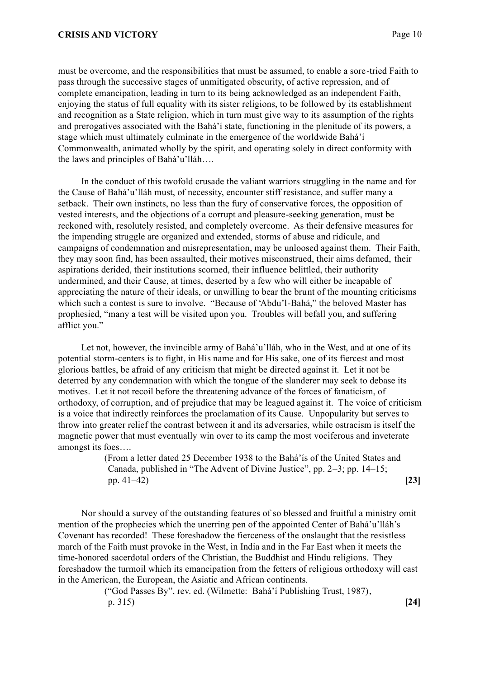must be overcome, and the responsibilities that must be assumed, to enable a sore-tried Faith to pass through the successive stages of unmitigated obscurity, of active repression, and of complete emancipation, leading in turn to its being acknowledged as an independent Faith, enjoying the status of full equality with its sister religions, to be followed by its establishment and recognition as a State religion, which in turn must give way to its assumption of the rights and prerogatives associated with the Bahá'í state, functioning in the plenitude of its powers, a stage which must ultimately culminate in the emergence of the worldwide Bahá'í Commonwealth, animated wholly by the spirit, and operating solely in direct conformity with the laws and principles of Bahá'u'lláh….

In the conduct of this twofold crusade the valiant warriors struggling in the name and for the Cause of Bahá'u'lláh must, of necessity, encounter stiff resistance, and suffer many a setback. Their own instincts, no less than the fury of conservative forces, the opposition of vested interests, and the objections of a corrupt and pleasure-seeking generation, must be reckoned with, resolutely resisted, and completely overcome. As their defensive measures for the impending struggle are organized and extended, storms of abuse and ridicule, and campaigns of condemnation and misrepresentation, may be unloosed against them. Their Faith, they may soon find, has been assaulted, their motives misconstrued, their aims defamed, their aspirations derided, their institutions scorned, their influence belittled, their authority undermined, and their Cause, at times, deserted by a few who will either be incapable of appreciating the nature of their ideals, or unwilling to bear the brunt of the mounting criticisms which such a contest is sure to involve. "Because of 'Abdu'l-Bahá," the beloved Master has prophesied, "many a test will be visited upon you. Troubles will befall you, and suffering afflict you."

Let not, however, the invincible army of Bahá'u'lláh, who in the West, and at one of its potential storm-centers is to fight, in His name and for His sake, one of its fiercest and most glorious battles, be afraid of any criticism that might be directed against it. Let it not be deterred by any condemnation with which the tongue of the slanderer may seek to debase its motives. Let it not recoil before the threatening advance of the forces of fanaticism, of orthodoxy, of corruption, and of prejudice that may be leagued against it. The voice of criticism is a voice that indirectly reinforces the proclamation of its Cause. Unpopularity but serves to throw into greater relief the contrast between it and its adversaries, while ostracism is itself the magnetic power that must eventually win over to its camp the most vociferous and inveterate amongst its foes….

> (From a letter dated 25 December 1938 to the Bahá'ís of the United States and Canada, published in "The Advent of Divine Justice", pp. 2–3; pp. 14–15; pp. 41–42) **[23]**

Nor should a survey of the outstanding features of so blessed and fruitful a ministry omit mention of the prophecies which the unerring pen of the appointed Center of Bahá'u'lláh's Covenant has recorded! These foreshadow the fierceness of the onslaught that the resistless march of the Faith must provoke in the West, in India and in the Far East when it meets the time-honored sacerdotal orders of the Christian, the Buddhist and Hindu religions. They foreshadow the turmoil which its emancipation from the fetters of religious orthodoxy will cast in the American, the European, the Asiatic and African continents.

("God Passes By", rev. ed. (Wilmette: Bahá'í Publishing Trust, 1987), p. 315) **[24]**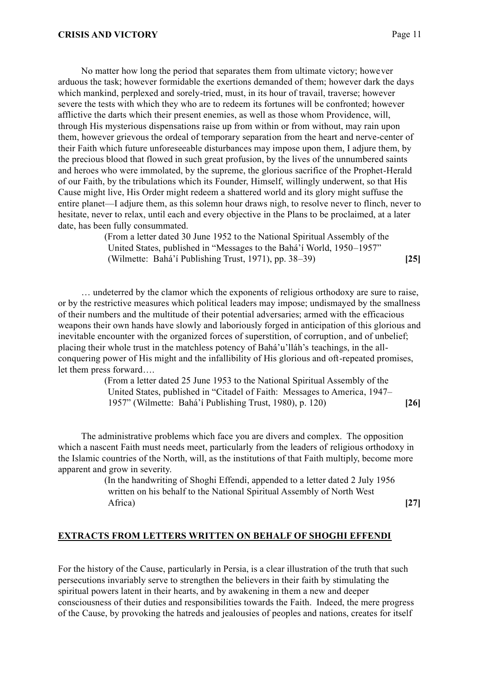No matter how long the period that separates them from ultimate victory; however arduous the task; however formidable the exertions demanded of them; however dark the days which mankind, perplexed and sorely-tried, must, in its hour of travail, traverse; however severe the tests with which they who are to redeem its fortunes will be confronted; however afflictive the darts which their present enemies, as well as those whom Providence, will, through His mysterious dispensations raise up from within or from without, may rain upon them, however grievous the ordeal of temporary separation from the heart and nerve-center of their Faith which future unforeseeable disturbances may impose upon them, I adjure them, by the precious blood that flowed in such great profusion, by the lives of the unnumbered saints and heroes who were immolated, by the supreme, the glorious sacrifice of the Prophet-Herald of our Faith, by the tribulations which its Founder, Himself, willingly underwent, so that His Cause might live, His Order might redeem a shattered world and its glory might suffuse the entire planet—I adjure them, as this solemn hour draws nigh, to resolve never to flinch, never to hesitate, never to relax, until each and every objective in the Plans to be proclaimed, at a later date, has been fully consummated.

> (From a letter dated 30 June 1952 to the National Spiritual Assembly of the United States, published in "Messages to the Bahá'í World, 1950–1957" (Wilmette: Bahá'í Publishing Trust, 1971), pp. 38–39) **[25]**

… undeterred by the clamor which the exponents of religious orthodoxy are sure to raise, or by the restrictive measures which political leaders may impose; undismayed by the smallness of their numbers and the multitude of their potential adversaries; armed with the efficacious weapons their own hands have slowly and laboriously forged in anticipation of this glorious and inevitable encounter with the organized forces of superstition, of corruption, and of unbelief; placing their whole trust in the matchless potency of Bahá'u'lláh's teachings, in the allconquering power of His might and the infallibility of His glorious and oft-repeated promises, let them press forward….

> (From a letter dated 25 June 1953 to the National Spiritual Assembly of the United States, published in "Citadel of Faith: Messages to America, 1947– 1957" (Wilmette: Bahá'í Publishing Trust, 1980), p. 120) **[26]**

The administrative problems which face you are divers and complex. The opposition which a nascent Faith must needs meet, particularly from the leaders of religious orthodoxy in the Islamic countries of the North, will, as the institutions of that Faith multiply, become more apparent and grow in severity.

> (In the handwriting of Shoghi Effendi, appended to a letter dated 2 July 1956 written on his behalf to the National Spiritual Assembly of North West Africa) **[27]**

#### **EXTRACTS FROM LETTERS WRITTEN ON BEHALF OF SHOGHI EFFENDI**

For the history of the Cause, particularly in Persia, is a clear illustration of the truth that such persecutions invariably serve to strengthen the believers in their faith by stimulating the spiritual powers latent in their hearts, and by awakening in them a new and deeper consciousness of their duties and responsibilities towards the Faith. Indeed, the mere progress of the Cause, by provoking the hatreds and jealousies of peoples and nations, creates for itself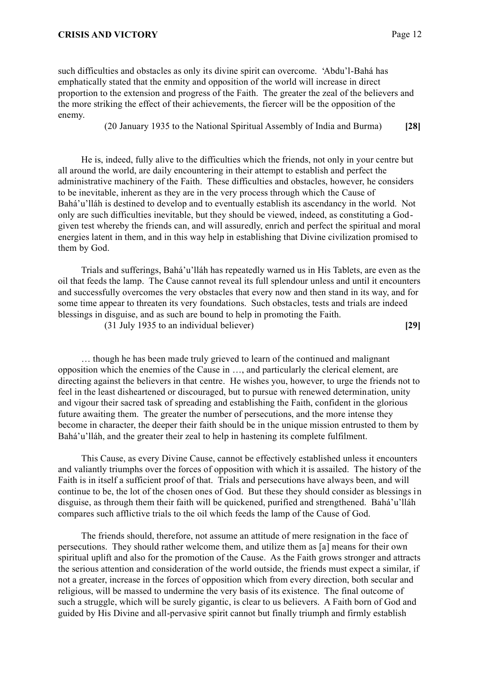such difficulties and obstacles as only its divine spirit can overcome. 'Abdu'l-Bahá has emphatically stated that the enmity and opposition of the world will increase in direct proportion to the extension and progress of the Faith. The greater the zeal of the believers and the more striking the effect of their achievements, the fiercer will be the opposition of the enemy.

(20 January 1935 to the National Spiritual Assembly of India and Burma) **[28]**

He is, indeed, fully alive to the difficulties which the friends, not only in your centre but all around the world, are daily encountering in their attempt to establish and perfect the administrative machinery of the Faith. These difficulties and obstacles, however, he considers to be inevitable, inherent as they are in the very process through which the Cause of Bahá'u'lláh is destined to develop and to eventually establish its ascendancy in the world. Not only are such difficulties inevitable, but they should be viewed, indeed, as constituting a Godgiven test whereby the friends can, and will assuredly, enrich and perfect the spiritual and moral energies latent in them, and in this way help in establishing that Divine civilization promised to them by God.

Trials and sufferings, Bahá'u'lláh has repeatedly warned us in His Tablets, are even as the oil that feeds the lamp. The Cause cannot reveal its full splendour unless and until it encounters and successfully overcomes the very obstacles that every now and then stand in its way, and for some time appear to threaten its very foundations. Such obstacles, tests and trials are indeed blessings in disguise, and as such are bound to help in promoting the Faith.

(31 July 1935 to an individual believer) **[29]**

… though he has been made truly grieved to learn of the continued and malignant opposition which the enemies of the Cause in …, and particularly the clerical element, are directing against the believers in that centre. He wishes you, however, to urge the friends not to feel in the least disheartened or discouraged, but to pursue with renewed determination, unity and vigour their sacred task of spreading and establishing the Faith, confident in the glorious future awaiting them. The greater the number of persecutions, and the more intense they become in character, the deeper their faith should be in the unique mission entrusted to them by Bahá'u'lláh, and the greater their zeal to help in hastening its complete fulfilment.

This Cause, as every Divine Cause, cannot be effectively established unless it encounters and valiantly triumphs over the forces of opposition with which it is assailed. The history of the Faith is in itself a sufficient proof of that. Trials and persecutions have always been, and will continue to be, the lot of the chosen ones of God. But these they should consider as blessings in disguise, as through them their faith will be quickened, purified and strengthened. Bahá'u'lláh compares such afflictive trials to the oil which feeds the lamp of the Cause of God.

The friends should, therefore, not assume an attitude of mere resignation in the face of persecutions. They should rather welcome them, and utilize them as [a] means for their own spiritual uplift and also for the promotion of the Cause. As the Faith grows stronger and attracts the serious attention and consideration of the world outside, the friends must expect a similar, if not a greater, increase in the forces of opposition which from every direction, both secular and religious, will be massed to undermine the very basis of its existence. The final outcome of such a struggle, which will be surely gigantic, is clear to us believers. A Faith born of God and guided by His Divine and all-pervasive spirit cannot but finally triumph and firmly establish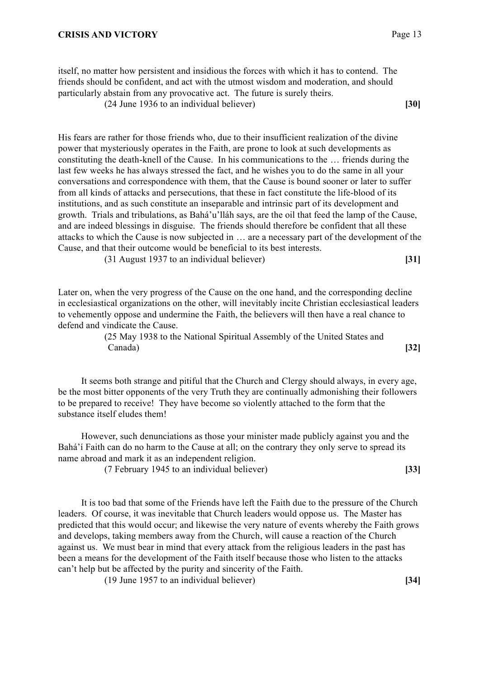itself, no matter how persistent and insidious the forces with which it has to contend. The friends should be confident, and act with the utmost wisdom and moderation, and should particularly abstain from any provocative act. The future is surely theirs.

(24 June 1936 to an individual believer) **[30]**

His fears are rather for those friends who, due to their insufficient realization of the divine power that mysteriously operates in the Faith, are prone to look at such developments as constituting the death-knell of the Cause. In his communications to the … friends during the last few weeks he has always stressed the fact, and he wishes you to do the same in all your conversations and correspondence with them, that the Cause is bound sooner or later to suffer from all kinds of attacks and persecutions, that these in fact constitute the life-blood of its institutions, and as such constitute an inseparable and intrinsic part of its development and growth. Trials and tribulations, as Bahá'u'lláh says, are the oil that feed the lamp of the Cause, and are indeed blessings in disguise. The friends should therefore be confident that all these attacks to which the Cause is now subjected in … are a necessary part of the development of the Cause, and that their outcome would be beneficial to its best interests.

(31 August 1937 to an individual believer) **[31]**

Later on, when the very progress of the Cause on the one hand, and the corresponding decline in ecclesiastical organizations on the other, will inevitably incite Christian ecclesiastical leaders to vehemently oppose and undermine the Faith, the believers will then have a real chance to defend and vindicate the Cause.

> (25 May 1938 to the National Spiritual Assembly of the United States and Canada) **[32]**

It seems both strange and pitiful that the Church and Clergy should always, in every age, be the most bitter opponents of the very Truth they are continually admonishing their followers to be prepared to receive! They have become so violently attached to the form that the substance itself eludes them!

However, such denunciations as those your minister made publicly against you and the Bahá'í Faith can do no harm to the Cause at all; on the contrary they only serve to spread its name abroad and mark it as an independent religion.

(7 February 1945 to an individual believer) **[33]**

It is too bad that some of the Friends have left the Faith due to the pressure of the Church leaders. Of course, it was inevitable that Church leaders would oppose us. The Master has predicted that this would occur; and likewise the very nature of events whereby the Faith grows and develops, taking members away from the Church, will cause a reaction of the Church against us. We must bear in mind that every attack from the religious leaders in the past has been a means for the development of the Faith itself because those who listen to the attacks can't help but be affected by the purity and sincerity of the Faith.

(19 June 1957 to an individual believer) **[34]**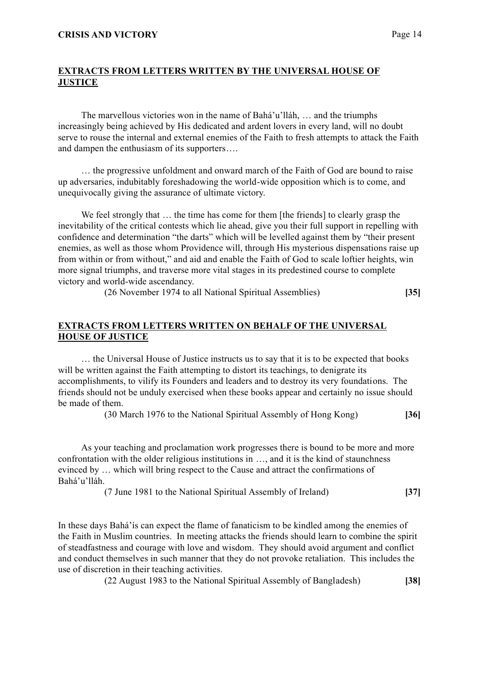# **EXTRACTS FROM LETTERS WRITTEN BY THE UNIVERSAL HOUSE OF JUSTICE**

The marvellous victories won in the name of Bahá'u'lláh, … and the triumphs increasingly being achieved by His dedicated and ardent lovers in every land, will no doubt serve to rouse the internal and external enemies of the Faith to fresh attempts to attack the Faith and dampen the enthusiasm of its supporters….

… the progressive unfoldment and onward march of the Faith of God are bound to raise up adversaries, indubitably foreshadowing the world-wide opposition which is to come, and unequivocally giving the assurance of ultimate victory.

We feel strongly that ... the time has come for them [the friends] to clearly grasp the inevitability of the critical contests which lie ahead, give you their full support in repelling with confidence and determination "the darts" which will be levelled against them by "their present enemies, as well as those whom Providence will, through His mysterious dispensations raise up from within or from without," and aid and enable the Faith of God to scale loftier heights, win more signal triumphs, and traverse more vital stages in its predestined course to complete victory and world-wide ascendancy.

(26 November 1974 to all National Spiritual Assemblies) **[35]**

# **EXTRACTS FROM LETTERS WRITTEN ON BEHALF OF THE UNIVERSAL HOUSE OF JUSTICE**

… the Universal House of Justice instructs us to say that it is to be expected that books will be written against the Faith attempting to distort its teachings, to denigrate its accomplishments, to vilify its Founders and leaders and to destroy its very foundations. The friends should not be unduly exercised when these books appear and certainly no issue should be made of them.

(30 March 1976 to the National Spiritual Assembly of Hong Kong) **[36]**

As your teaching and proclamation work progresses there is bound to be more and more confrontation with the older religious institutions in …, and it is the kind of staunchness evinced by … which will bring respect to the Cause and attract the confirmations of Bahá'u'lláh.

(7 June 1981 to the National Spiritual Assembly of Ireland) **[37]**

In these days Bahá'ís can expect the flame of fanaticism to be kindled among the enemies of the Faith in Muslim countries. In meeting attacks the friends should learn to combine the spirit of steadfastness and courage with love and wisdom. They should avoid argument and conflict and conduct themselves in such manner that they do not provoke retaliation. This includes the use of discretion in their teaching activities.

(22 August 1983 to the National Spiritual Assembly of Bangladesh) **[38]**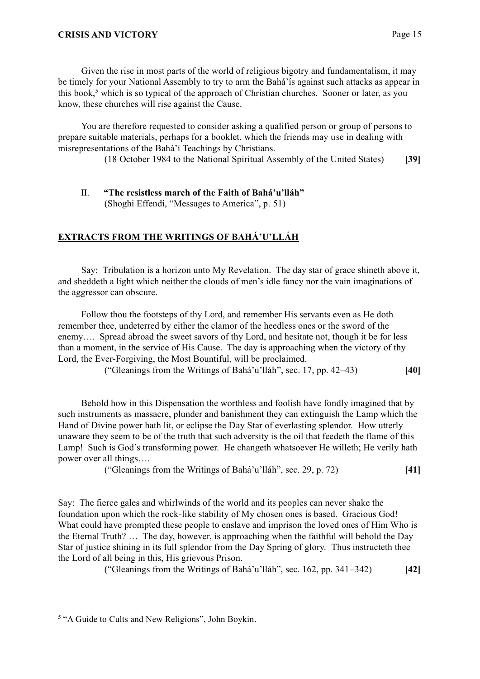Given the rise in most parts of the world of religious bigotry and fundamentalism, it may be timely for your National Assembly to try to arm the Bahá'ís against such attacks as appear in this book,<sup>5</sup> which is so typical of the approach of Christian churches. Sooner or later, as you know, these churches will rise against the Cause.

You are therefore requested to consider asking a qualified person or group of persons to prepare suitable materials, perhaps for a booklet, which the friends may use in dealing with misrepresentations of the Bahá'í Teachings by Christians.

(18 October 1984 to the National Spiritual Assembly of the United States) **[39]**

II. **"The resistless march of the Faith of Bahá'u'lláh"** (Shoghi Effendi, "Messages to America", p. 51)

# **EXTRACTS FROM THE WRITINGS OF BAHÁ'U'LLÁH**

Say: Tribulation is a horizon unto My Revelation. The day star of grace shineth above it, and sheddeth a light which neither the clouds of men's idle fancy nor the vain imaginations of the aggressor can obscure.

Follow thou the footsteps of thy Lord, and remember His servants even as He doth remember thee, undeterred by either the clamor of the heedless ones or the sword of the enemy…. Spread abroad the sweet savors of thy Lord, and hesitate not, though it be for less than a moment, in the service of His Cause. The day is approaching when the victory of thy Lord, the Ever-Forgiving, the Most Bountiful, will be proclaimed.

("Gleanings from the Writings of Bahá'u'lláh", sec. 17, pp. 42–43) **[40]**

Behold how in this Dispensation the worthless and foolish have fondly imagined that by such instruments as massacre, plunder and banishment they can extinguish the Lamp which the Hand of Divine power hath lit, or eclipse the Day Star of everlasting splendor. How utterly unaware they seem to be of the truth that such adversity is the oil that feedeth the flame of this Lamp! Such is God's transforming power. He changeth whatsoever He willeth; He verily hath power over all things….

("Gleanings from the Writings of Bahá'u'lláh", sec. 29, p. 72) **[41]**

Say: The fierce gales and whirlwinds of the world and its peoples can never shake the foundation upon which the rock-like stability of My chosen ones is based. Gracious God! What could have prompted these people to enslave and imprison the loved ones of Him Who is the Eternal Truth? … The day, however, is approaching when the faithful will behold the Day Star of justice shining in its full splendor from the Day Spring of glory. Thus instructeth thee the Lord of all being in this, His grievous Prison.

("Gleanings from the Writings of Bahá'u'lláh", sec. 162, pp. 341–342) **[42]**

<sup>&</sup>lt;sup>5</sup> "A Guide to Cults and New Religions", John Boykin.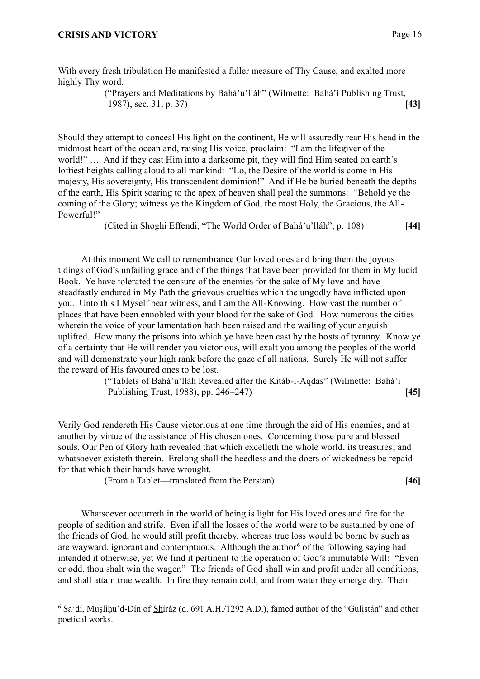With every fresh tribulation He manifested a fuller measure of Thy Cause, and exalted more highly Thy word.

> ("Prayers and Meditations by Bahá'u'lláh" (Wilmette: Bahá'í Publishing Trust, 1987), sec. 31, p. 37) **[43]**

Should they attempt to conceal His light on the continent, He will assuredly rear His head in the midmost heart of the ocean and, raising His voice, proclaim: "I am the lifegiver of the world!" … And if they cast Him into a darksome pit, they will find Him seated on earth's loftiest heights calling aloud to all mankind: "Lo, the Desire of the world is come in His majesty, His sovereignty, His transcendent dominion!" And if He be buried beneath the depths of the earth, His Spirit soaring to the apex of heaven shall peal the summons: "Behold ye the coming of the Glory; witness ye the Kingdom of God, the most Holy, the Gracious, the All-Powerful!"

(Cited in Shoghi Effendi, "The World Order of Bahá'u'lláh", p. 108) **[44]**

At this moment We call to remembrance Our loved ones and bring them the joyous tidings of God's unfailing grace and of the things that have been provided for them in My lucid Book. Ye have tolerated the censure of the enemies for the sake of My love and have steadfastly endured in My Path the grievous cruelties which the ungodly have inflicted upon you. Unto this I Myself bear witness, and I am the All-Knowing. How vast the number of places that have been ennobled with your blood for the sake of God. How numerous the cities wherein the voice of your lamentation hath been raised and the wailing of your anguish uplifted. How many the prisons into which ye have been cast by the hosts of tyranny. Know ye of a certainty that He will render you victorious, will exalt you among the peoples of the world and will demonstrate your high rank before the gaze of all nations. Surely He will not suffer the reward of His favoured ones to be lost.

> ("Tablets of Bahá'u'lláh Revealed after the Kitáb-i-Aqdas" (Wilmette: Bahá'í Publishing Trust, 1988), pp. 246–247) **[45]**

Verily God rendereth His Cause victorious at one time through the aid of His enemies, and at another by virtue of the assistance of His chosen ones. Concerning those pure and blessed souls, Our Pen of Glory hath revealed that which excelleth the whole world, its treasures, and whatsoever existeth therein. Erelong shall the heedless and the doers of wickedness be repaid for that which their hands have wrought.

(From a Tablet—translated from the Persian) **[46]**

Whatsoever occurreth in the world of being is light for His loved ones and fire for the people of sedition and strife. Even if all the losses of the world were to be sustained by one of the friends of God, he would still profit thereby, whereas true loss would be borne by such as are wayward, ignorant and contemptuous. Although the author<sup>6</sup> of the following saying had intended it otherwise, yet We find it pertinent to the operation of God's immutable Will: "Even or odd, thou shalt win the wager." The friends of God shall win and profit under all conditions, and shall attain true wealth. In fire they remain cold, and from water they emerge dry. Their

<sup>6</sup> Sa'dí, Muṣliḥu'd-Dín of Shíráz (d. 691 A.H./1292 A.D.), famed author of the "Gulistán" and other poetical works.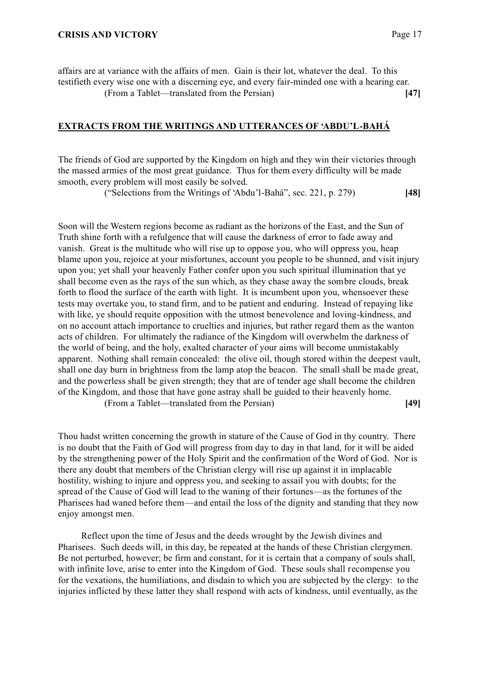affairs are at variance with the affairs of men. Gain is their lot, whatever the deal. To this testifieth every wise one with a discerning eye, and every fair-minded one with a hearing ear. (From a Tablet—translated from the Persian) **[47]**

### **EXTRACTS FROM THE WRITINGS AND UTTERANCES OF 'ABDU'L-BAHÁ**

The friends of God are supported by the Kingdom on high and they win their victories through the massed armies of the most great guidance. Thus for them every difficulty will be made smooth, every problem will most easily be solved.

("Selections from the Writings of 'Abdu'l-Bahá", sec. 221, p. 279) **[48]**

Soon will the Western regions become as radiant as the horizons of the East, and the Sun of Truth shine forth with a refulgence that will cause the darkness of error to fade away and vanish. Great is the multitude who will rise up to oppose you, who will oppress you, heap blame upon you, rejoice at your misfortunes, account you people to be shunned, and visit injury upon you; yet shall your heavenly Father confer upon you such spiritual illumination that ye shall become even as the rays of the sun which, as they chase away the sombre clouds, break forth to flood the surface of the earth with light. It is incumbent upon you, whensoever these tests may overtake you, to stand firm, and to be patient and enduring. Instead of repaying like with like, ye should requite opposition with the utmost benevolence and loving-kindness, and on no account attach importance to cruelties and injuries, but rather regard them as the wanton acts of children. For ultimately the radiance of the Kingdom will overwhelm the darkness of the world of being, and the holy, exalted character of your aims will become unmistakably apparent. Nothing shall remain concealed: the olive oil, though stored within the deepest vault, shall one day burn in brightness from the lamp atop the beacon. The small shall be made great, and the powerless shall be given strength; they that are of tender age shall become the children of the Kingdom, and those that have gone astray shall be guided to their heavenly home.

(From a Tablet—translated from the Persian) **[49]**

Thou hadst written concerning the growth in stature of the Cause of God in thy country. There is no doubt that the Faith of God will progress from day to day in that land, for it will be aided by the strengthening power of the Holy Spirit and the confirmation of the Word of God. Nor is there any doubt that members of the Christian clergy will rise up against it in implacable hostility, wishing to injure and oppress you, and seeking to assail you with doubts; for the spread of the Cause of God will lead to the waning of their fortunes—as the fortunes of the Pharisees had waned before them—and entail the loss of the dignity and standing that they now enjoy amongst men.

Reflect upon the time of Jesus and the deeds wrought by the Jewish divines and Pharisees. Such deeds will, in this day, be repeated at the hands of these Christian clergymen. Be not perturbed, however; be firm and constant, for it is certain that a company of souls shall, with infinite love, arise to enter into the Kingdom of God. These souls shall recompense you for the vexations, the humiliations, and disdain to which you are subjected by the clergy: to the injuries inflicted by these latter they shall respond with acts of kindness, until eventually, as the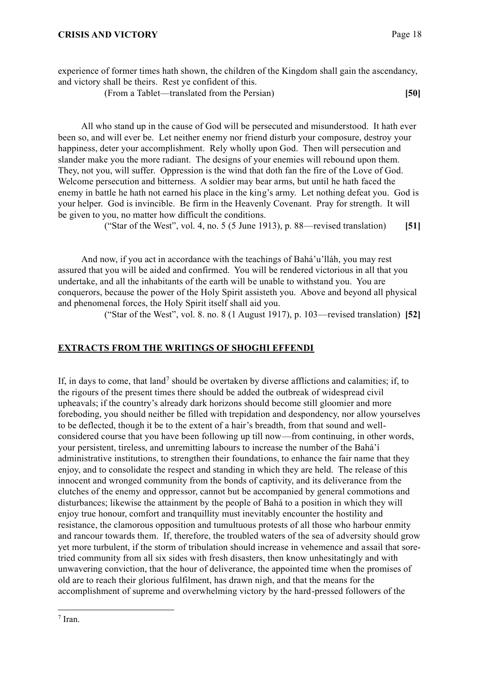experience of former times hath shown, the children of the Kingdom shall gain the ascendancy, and victory shall be theirs. Rest ye confident of this.

(From a Tablet—translated from the Persian) **[50]**

All who stand up in the cause of God will be persecuted and misunderstood. It hath ever been so, and will ever be. Let neither enemy nor friend disturb your composure, destroy your happiness, deter your accomplishment. Rely wholly upon God. Then will persecution and slander make you the more radiant. The designs of your enemies will rebound upon them. They, not you, will suffer. Oppression is the wind that doth fan the fire of the Love of God. Welcome persecution and bitterness. A soldier may bear arms, but until he hath faced the enemy in battle he hath not earned his place in the king's army. Let nothing defeat you. God is your helper. God is invincible. Be firm in the Heavenly Covenant. Pray for strength. It will be given to you, no matter how difficult the conditions.

("Star of the West", vol. 4, no. 5 (5 June 1913), p. 88—revised translation) **[51]**

And now, if you act in accordance with the teachings of Bahá'u'lláh, you may rest assured that you will be aided and confirmed. You will be rendered victorious in all that you undertake, and all the inhabitants of the earth will be unable to withstand you. You are conquerors, because the power of the Holy Spirit assisteth you. Above and beyond all physical and phenomenal forces, the Holy Spirit itself shall aid you.

("Star of the West", vol. 8. no. 8 (1 August 1917), p. 103—revised translation) **[52]**

# **EXTRACTS FROM THE WRITINGS OF SHOGHI EFFENDI**

If, in days to come, that land<sup>7</sup> should be overtaken by diverse afflictions and calamities; if, to the rigours of the present times there should be added the outbreak of widespread civil upheavals; if the country's already dark horizons should become still gloomier and more foreboding, you should neither be filled with trepidation and despondency, nor allow yourselves to be deflected, though it be to the extent of a hair's breadth, from that sound and wellconsidered course that you have been following up till now—from continuing, in other words, your persistent, tireless, and unremitting labours to increase the number of the Bahá'í administrative institutions, to strengthen their foundations, to enhance the fair name that they enjoy, and to consolidate the respect and standing in which they are held. The release of this innocent and wronged community from the bonds of captivity, and its deliverance from the clutches of the enemy and oppressor, cannot but be accompanied by general commotions and disturbances; likewise the attainment by the people of Bahá to a position in which they will enjoy true honour, comfort and tranquillity must inevitably encounter the hostility and resistance, the clamorous opposition and tumultuous protests of all those who harbour enmity and rancour towards them. If, therefore, the troubled waters of the sea of adversity should grow yet more turbulent, if the storm of tribulation should increase in vehemence and assail that soretried community from all six sides with fresh disasters, then know unhesitatingly and with unwavering conviction, that the hour of deliverance, the appointed time when the promises of old are to reach their glorious fulfilment, has drawn nigh, and that the means for the accomplishment of supreme and overwhelming victory by the hard-pressed followers of the

<sup>7</sup> Iran.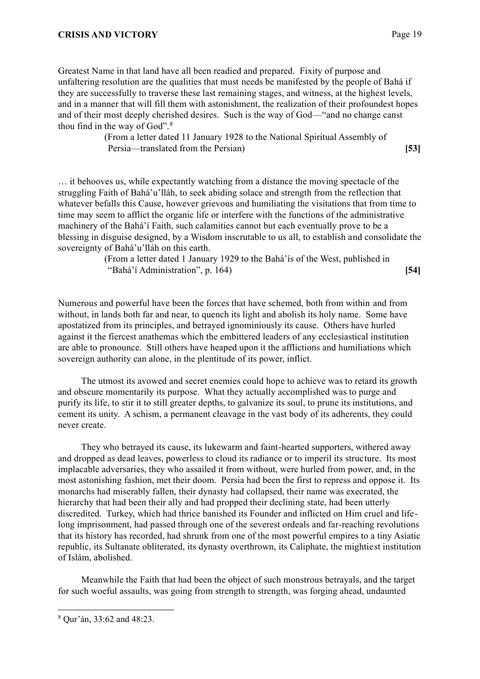Greatest Name in that land have all been readied and prepared. Fixity of purpose and unfaltering resolution are the qualities that must needs be manifested by the people of Bahá if they are successfully to traverse these last remaining stages, and witness, at the highest levels, and in a manner that will fill them with astonishment, the realization of their profoundest hopes and of their most deeply cherished desires. Such is the way of God—"and no change canst thou find in the way of God".<sup>8</sup>

> (From a letter dated 11 January 1928 to the National Spiritual Assembly of Persia—translated from the Persian) **[53]**

… it behooves us, while expectantly watching from a distance the moving spectacle of the struggling Faith of Bahá'u'lláh, to seek abiding solace and strength from the reflection that whatever befalls this Cause, however grievous and humiliating the visitations that from time to time may seem to afflict the organic life or interfere with the functions of the administrative machinery of the Bahá'í Faith, such calamities cannot but each eventually prove to be a blessing in disguise designed, by a Wisdom inscrutable to us all, to establish and consolidate the sovereignty of Bahá'u'lláh on this earth.

> (From a letter dated 1 January 1929 to the Bahá'ís of the West, published in "Bahá'í Administration", p. 164) **[54]**

Numerous and powerful have been the forces that have schemed, both from within and from without, in lands both far and near, to quench its light and abolish its holy name. Some have apostatized from its principles, and betrayed ignominiously its cause. Others have hurled against it the fiercest anathemas which the embittered leaders of any ecclesiastical institution are able to pronounce. Still others have heaped upon it the afflictions and humiliations which sovereign authority can alone, in the plentitude of its power, inflict.

The utmost its avowed and secret enemies could hope to achieve was to retard its growth and obscure momentarily its purpose. What they actually accomplished was to purge and purify its life, to stir it to still greater depths, to galvanize its soul, to prune its institutions, and cement its unity. A schism, a permanent cleavage in the vast body of its adherents, they could never create.

They who betrayed its cause, its lukewarm and faint-hearted supporters, withered away and dropped as dead leaves, powerless to cloud its radiance or to imperil its structure. Its most implacable adversaries, they who assailed it from without, were hurled from power, and, in the most astonishing fashion, met their doom. Persia had been the first to repress and oppose it. Its monarchs had miserably fallen, their dynasty had collapsed, their name was execrated, the hierarchy that had been their ally and had propped their declining state, had been utterly discredited. Turkey, which had thrice banished its Founder and inflicted on Him cruel and lifelong imprisonment, had passed through one of the severest ordeals and far-reaching revolutions that its history has recorded, had shrunk from one of the most powerful empires to a tiny Asiatic republic, its Sultanate obliterated, its dynasty overthrown, its Caliphate, the mightiest institution of Islám, abolished.

Meanwhile the Faith that had been the object of such monstrous betrayals, and the target for such woeful assaults, was going from strength to strength, was forging ahead, undaunted

<sup>8</sup> Qur'án, 33:62 and 48:23.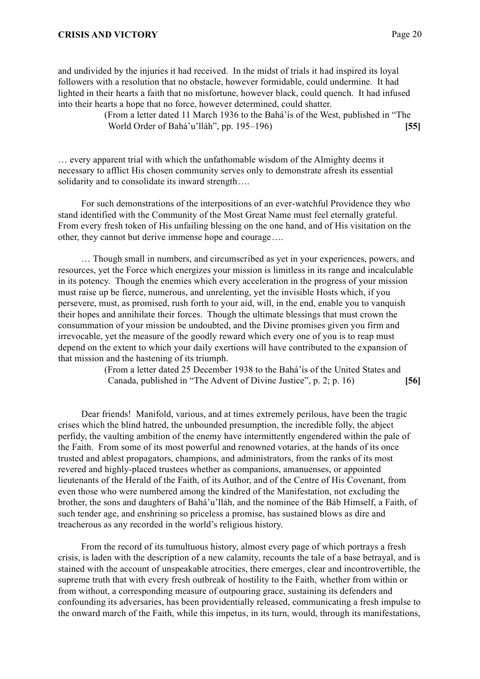and undivided by the injuries it had received. In the midst of trials it had inspired its loyal followers with a resolution that no obstacle, however formidable, could undermine. It had lighted in their hearts a faith that no misfortune, however black, could quench. It had infused into their hearts a hope that no force, however determined, could shatter.

> (From a letter dated 11 March 1936 to the Bahá'ís of the West, published in "The World Order of Bahá'u'lláh", pp. 195–196) **[55]**

… every apparent trial with which the unfathomable wisdom of the Almighty deems it necessary to afflict His chosen community serves only to demonstrate afresh its essential solidarity and to consolidate its inward strength….

For such demonstrations of the interpositions of an ever-watchful Providence they who stand identified with the Community of the Most Great Name must feel eternally grateful. From every fresh token of His unfailing blessing on the one hand, and of His visitation on the other, they cannot but derive immense hope and courage….

… Though small in numbers, and circumscribed as yet in your experiences, powers, and resources, yet the Force which energizes your mission is limitless in its range and incalculable in its potency. Though the enemies which every acceleration in the progress of your mission must raise up be fierce, numerous, and unrelenting, yet the invisible Hosts which, if you persevere, must, as promised, rush forth to your aid, will, in the end, enable you to vanquish their hopes and annihilate their forces. Though the ultimate blessings that must crown the consummation of your mission be undoubted, and the Divine promises given you firm and irrevocable, yet the measure of the goodly reward which every one of you is to reap must depend on the extent to which your daily exertions will have contributed to the expansion of that mission and the hastening of its triumph.

> (From a letter dated 25 December 1938 to the Bahá'ís of the United States and Canada, published in "The Advent of Divine Justice", p. 2; p. 16) **[56]**

Dear friends! Manifold, various, and at times extremely perilous, have been the tragic crises which the blind hatred, the unbounded presumption, the incredible folly, the abject perfidy, the vaulting ambition of the enemy have intermittently engendered within the pale of the Faith. From some of its most powerful and renowned votaries, at the hands of its once trusted and ablest propagators, champions, and administrators, from the ranks of its most revered and highly-placed trustees whether as companions, amanuenses, or appointed lieutenants of the Herald of the Faith, of its Author, and of the Centre of His Covenant, from even those who were numbered among the kindred of the Manifestation, not excluding the brother, the sons and daughters of Bahá'u'lláh, and the nominee of the Báb Himself, a Faith, of such tender age, and enshrining so priceless a promise, has sustained blows as dire and treacherous as any recorded in the world's religious history.

From the record of its tumultuous history, almost every page of which portrays a fresh crisis, is laden with the description of a new calamity, recounts the tale of a base betrayal, and is stained with the account of unspeakable atrocities, there emerges, clear and incontrovertible, the supreme truth that with every fresh outbreak of hostility to the Faith, whether from within or from without, a corresponding measure of outpouring grace, sustaining its defenders and confounding its adversaries, has been providentially released, communicating a fresh impulse to the onward march of the Faith, while this impetus, in its turn, would, through its manifestations,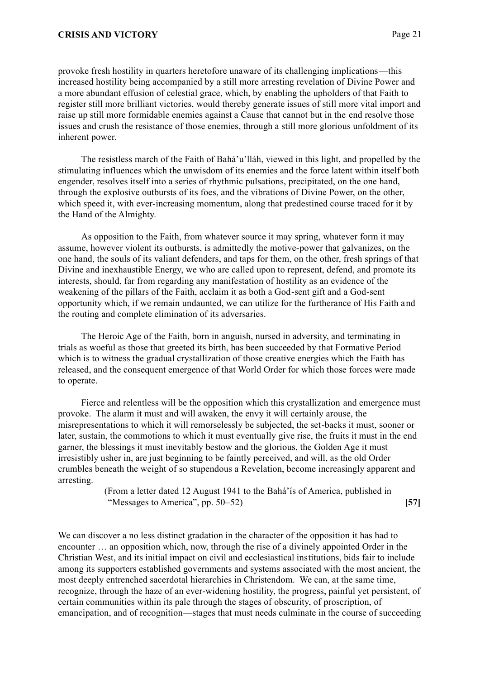provoke fresh hostility in quarters heretofore unaware of its challenging implications—this increased hostility being accompanied by a still more arresting revelation of Divine Power and a more abundant effusion of celestial grace, which, by enabling the upholders of that Faith to register still more brilliant victories, would thereby generate issues of still more vital import and raise up still more formidable enemies against a Cause that cannot but in the end resolve those issues and crush the resistance of those enemies, through a still more glorious unfoldment of its inherent power.

The resistless march of the Faith of Bahá'u'lláh, viewed in this light, and propelled by the stimulating influences which the unwisdom of its enemies and the force latent within itself both engender, resolves itself into a series of rhythmic pulsations, precipitated, on the one hand, through the explosive outbursts of its foes, and the vibrations of Divine Power, on the other, which speed it, with ever-increasing momentum, along that predestined course traced for it by the Hand of the Almighty.

As opposition to the Faith, from whatever source it may spring, whatever form it may assume, however violent its outbursts, is admittedly the motive-power that galvanizes, on the one hand, the souls of its valiant defenders, and taps for them, on the other, fresh springs of that Divine and inexhaustible Energy, we who are called upon to represent, defend, and promote its interests, should, far from regarding any manifestation of hostility as an evidence of the weakening of the pillars of the Faith, acclaim it as both a God-sent gift and a God-sent opportunity which, if we remain undaunted, we can utilize for the furtherance of His Faith and the routing and complete elimination of its adversaries.

The Heroic Age of the Faith, born in anguish, nursed in adversity, and terminating in trials as woeful as those that greeted its birth, has been succeeded by that Formative Period which is to witness the gradual crystallization of those creative energies which the Faith has released, and the consequent emergence of that World Order for which those forces were made to operate.

Fierce and relentless will be the opposition which this crystallization and emergence must provoke. The alarm it must and will awaken, the envy it will certainly arouse, the misrepresentations to which it will remorselessly be subjected, the set-backs it must, sooner or later, sustain, the commotions to which it must eventually give rise, the fruits it must in the end garner, the blessings it must inevitably bestow and the glorious, the Golden Age it must irresistibly usher in, are just beginning to be faintly perceived, and will, as the old Order crumbles beneath the weight of so stupendous a Revelation, become increasingly apparent and arresting.

> (From a letter dated 12 August 1941 to the Bahá'ís of America, published in "Messages to America", pp. 50–52) **[57]**

We can discover a no less distinct gradation in the character of the opposition it has had to encounter … an opposition which, now, through the rise of a divinely appointed Order in the Christian West, and its initial impact on civil and ecclesiastical institutions, bids fair to include among its supporters established governments and systems associated with the most ancient, the most deeply entrenched sacerdotal hierarchies in Christendom. We can, at the same time, recognize, through the haze of an ever-widening hostility, the progress, painful yet persistent, of certain communities within its pale through the stages of obscurity, of proscription, of emancipation, and of recognition—stages that must needs culminate in the course of succeeding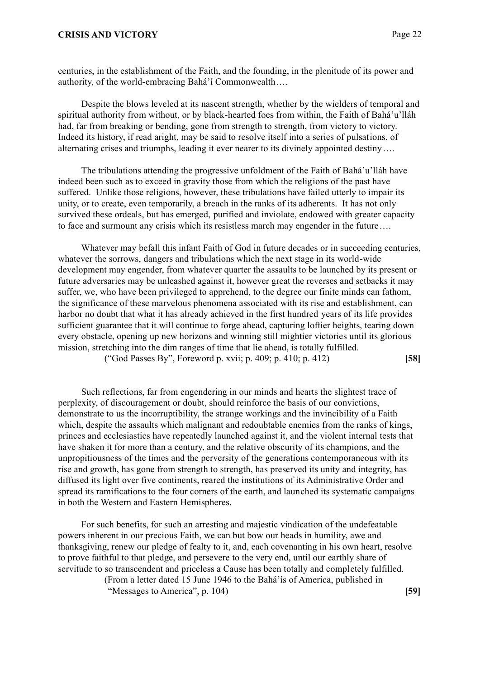centuries, in the establishment of the Faith, and the founding, in the plenitude of its power and authority, of the world-embracing Bahá'í Commonwealth….

Despite the blows leveled at its nascent strength, whether by the wielders of temporal and spiritual authority from without, or by black-hearted foes from within, the Faith of Bahá'u'lláh had, far from breaking or bending, gone from strength to strength, from victory to victory. Indeed its history, if read aright, may be said to resolve itself into a series of pulsations, of alternating crises and triumphs, leading it ever nearer to its divinely appointed destiny….

The tribulations attending the progressive unfoldment of the Faith of Bahá'u'lláh have indeed been such as to exceed in gravity those from which the religions of the past have suffered. Unlike those religions, however, these tribulations have failed utterly to impair its unity, or to create, even temporarily, a breach in the ranks of its adherents. It has not only survived these ordeals, but has emerged, purified and inviolate, endowed with greater capacity to face and surmount any crisis which its resistless march may engender in the future….

Whatever may befall this infant Faith of God in future decades or in succeeding centuries, whatever the sorrows, dangers and tribulations which the next stage in its world-wide development may engender, from whatever quarter the assaults to be launched by its present or future adversaries may be unleashed against it, however great the reverses and setbacks it may suffer, we, who have been privileged to apprehend, to the degree our finite minds can fathom, the significance of these marvelous phenomena associated with its rise and establishment, can harbor no doubt that what it has already achieved in the first hundred years of its life provides sufficient guarantee that it will continue to forge ahead, capturing loftier heights, tearing down every obstacle, opening up new horizons and winning still mightier victories until its glorious mission, stretching into the dim ranges of time that lie ahead, is totally fulfilled.

("God Passes By", Foreword p. xvii; p. 409; p. 410; p. 412) **[58]**

Such reflections, far from engendering in our minds and hearts the slightest trace of perplexity, of discouragement or doubt, should reinforce the basis of our convictions, demonstrate to us the incorruptibility, the strange workings and the invincibility of a Faith which, despite the assaults which malignant and redoubtable enemies from the ranks of kings, princes and ecclesiastics have repeatedly launched against it, and the violent internal tests that have shaken it for more than a century, and the relative obscurity of its champions, and the unpropitiousness of the times and the perversity of the generations contemporaneous with its rise and growth, has gone from strength to strength, has preserved its unity and integrity, has diffused its light over five continents, reared the institutions of its Administrative Order and spread its ramifications to the four corners of the earth, and launched its systematic campaigns in both the Western and Eastern Hemispheres.

For such benefits, for such an arresting and majestic vindication of the undefeatable powers inherent in our precious Faith, we can but bow our heads in humility, awe and thanksgiving, renew our pledge of fealty to it, and, each covenanting in his own heart, resolve to prove faithful to that pledge, and persevere to the very end, until our earthly share of servitude to so transcendent and priceless a Cause has been totally and completely fulfilled.

(From a letter dated 15 June 1946 to the Bahá'ís of America, published in "Messages to America", p. 104) **[59]**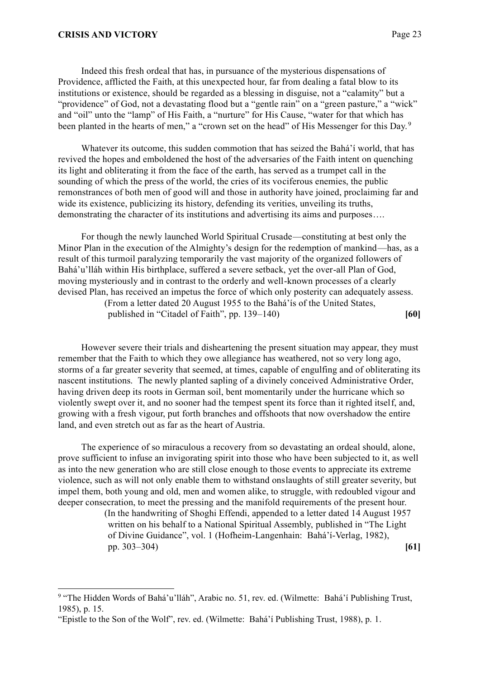Indeed this fresh ordeal that has, in pursuance of the mysterious dispensations of Providence, afflicted the Faith, at this unexpected hour, far from dealing a fatal blow to its institutions or existence, should be regarded as a blessing in disguise, not a "calamity" but a "providence" of God, not a devastating flood but a "gentle rain" on a "green pasture," a "wick" and "oil" unto the "lamp" of His Faith, a "nurture" for His Cause, "water for that which has been planted in the hearts of men," a "crown set on the head" of His Messenger for this Day.<sup>9</sup>

Whatever its outcome, this sudden commotion that has seized the Bahá'í world, that has revived the hopes and emboldened the host of the adversaries of the Faith intent on quenching its light and obliterating it from the face of the earth, has served as a trumpet call in the sounding of which the press of the world, the cries of its vociferous enemies, the public remonstrances of both men of good will and those in authority have joined, proclaiming far and wide its existence, publicizing its history, defending its verities, unveiling its truths, demonstrating the character of its institutions and advertising its aims and purposes….

For though the newly launched World Spiritual Crusade—constituting at best only the Minor Plan in the execution of the Almighty's design for the redemption of mankind—has, as a result of this turmoil paralyzing temporarily the vast majority of the organized followers of Bahá'u'lláh within His birthplace, suffered a severe setback, yet the over-all Plan of God, moving mysteriously and in contrast to the orderly and well-known processes of a clearly devised Plan, has received an impetus the force of which only posterity can adequately assess. (From a letter dated 20 August 1955 to the Bahá'ís of the United States, published in "Citadel of Faith", pp. 139–140) **[60]**

However severe their trials and disheartening the present situation may appear, they must remember that the Faith to which they owe allegiance has weathered, not so very long ago, storms of a far greater severity that seemed, at times, capable of engulfing and of obliterating its nascent institutions. The newly planted sapling of a divinely conceived Administrative Order, having driven deep its roots in German soil, bent momentarily under the hurricane which so violently swept over it, and no sooner had the tempest spent its force than it righted itself, and, growing with a fresh vigour, put forth branches and offshoots that now overshadow the entire land, and even stretch out as far as the heart of Austria.

The experience of so miraculous a recovery from so devastating an ordeal should, alone, prove sufficient to infuse an invigorating spirit into those who have been subjected to it, as well as into the new generation who are still close enough to those events to appreciate its extreme violence, such as will not only enable them to withstand onslaughts of still greater severity, but impel them, both young and old, men and women alike, to struggle, with redoubled vigour and deeper consecration, to meet the pressing and the manifold requirements of the present hour.

> (In the handwriting of Shoghi Effendi, appended to a letter dated 14 August 1957 written on his behalf to a National Spiritual Assembly, published in "The Light of Divine Guidance", vol. 1 (Hofheim-Langenhain: Bahá'í-Verlag, 1982), pp. 303–304) **[61]**

<sup>&</sup>lt;sup>9</sup> "The Hidden Words of Bahá'u'lláh", Arabic no. 51, rev. ed. (Wilmette: Bahá'í Publishing Trust, 1985), p. 15.

<sup>&</sup>quot;Epistle to the Son of the Wolf", rev. ed. (Wilmette: Bahá'í Publishing Trust, 1988), p. 1.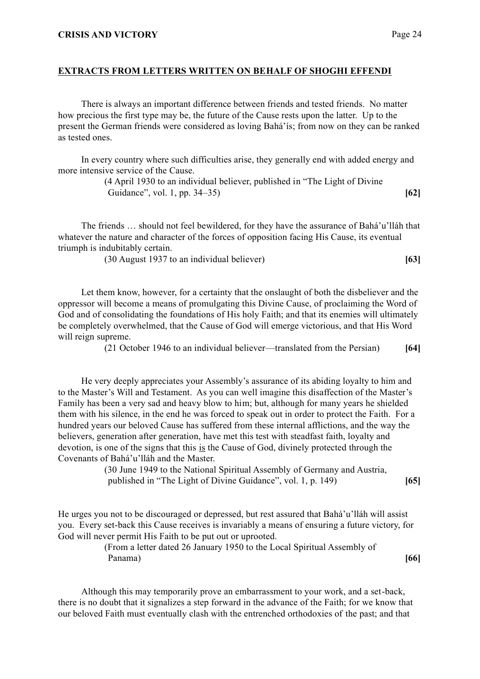### **EXTRACTS FROM LETTERS WRITTEN ON BEHALF OF SHOGHI EFFENDI**

There is always an important difference between friends and tested friends. No matter how precious the first type may be, the future of the Cause rests upon the latter. Up to the present the German friends were considered as loving Bahá'ís; from now on they can be ranked as tested ones.

In every country where such difficulties arise, they generally end with added energy and more intensive service of the Cause.

> (4 April 1930 to an individual believer, published in "The Light of Divine Guidance", vol. 1, pp. 34–35) **[62]**

The friends … should not feel bewildered, for they have the assurance of Bahá'u'lláh that whatever the nature and character of the forces of opposition facing His Cause, its eventual triumph is indubitably certain.

(30 August 1937 to an individual believer) **[63]**

Let them know, however, for a certainty that the onslaught of both the disbeliever and the oppressor will become a means of promulgating this Divine Cause, of proclaiming the Word of God and of consolidating the foundations of His holy Faith; and that its enemies will ultimately be completely overwhelmed, that the Cause of God will emerge victorious, and that His Word will reign supreme.

(21 October 1946 to an individual believer—translated from the Persian) **[64]**

He very deeply appreciates your Assembly's assurance of its abiding loyalty to him and to the Master's Will and Testament. As you can well imagine this disaffection of the Master's Family has been a very sad and heavy blow to him; but, although for many years he shielded them with his silence, in the end he was forced to speak out in order to protect the Faith. For a hundred years our beloved Cause has suffered from these internal afflictions, and the way the believers, generation after generation, have met this test with steadfast faith, loyalty and devotion, is one of the signs that this is the Cause of God, divinely protected through the Covenants of Bahá'u'lláh and the Master.

> (30 June 1949 to the National Spiritual Assembly of Germany and Austria, published in "The Light of Divine Guidance", vol. 1, p. 149) **[65]**

He urges you not to be discouraged or depressed, but rest assured that Bahá'u'lláh will assist you. Every set-back this Cause receives is invariably a means of ensuring a future victory, for God will never permit His Faith to be put out or uprooted.

(From a letter dated 26 January 1950 to the Local Spiritual Assembly of Panama) **[66]**

Although this may temporarily prove an embarrassment to your work, and a set-back, there is no doubt that it signalizes a step forward in the advance of the Faith; for we know that our beloved Faith must eventually clash with the entrenched orthodoxies of the past; and that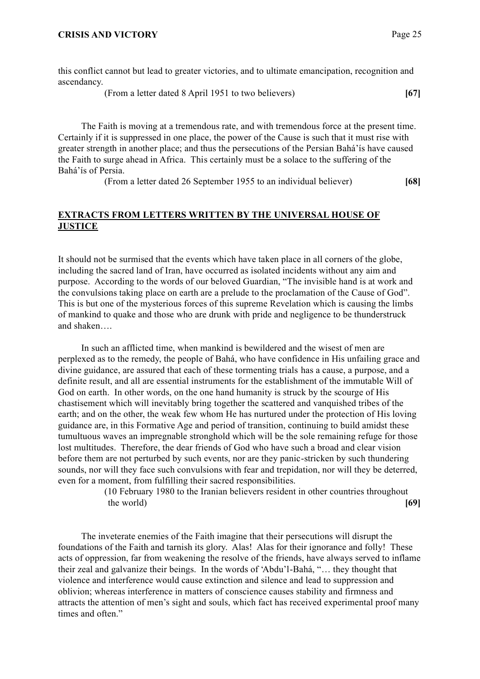this conflict cannot but lead to greater victories, and to ultimate emancipation, recognition and ascendancy.

(From a letter dated 8 April 1951 to two believers) **[67]**

The Faith is moving at a tremendous rate, and with tremendous force at the present time. Certainly if it is suppressed in one place, the power of the Cause is such that it must rise with greater strength in another place; and thus the persecutions of the Persian Bahá'ís have caused the Faith to surge ahead in Africa. This certainly must be a solace to the suffering of the Bahá'ís of Persia.

(From a letter dated 26 September 1955 to an individual believer) **[68]**

# **EXTRACTS FROM LETTERS WRITTEN BY THE UNIVERSAL HOUSE OF JUSTICE**

It should not be surmised that the events which have taken place in all corners of the globe, including the sacred land of Iran, have occurred as isolated incidents without any aim and purpose. According to the words of our beloved Guardian, "The invisible hand is at work and the convulsions taking place on earth are a prelude to the proclamation of the Cause of God". This is but one of the mysterious forces of this supreme Revelation which is causing the limbs of mankind to quake and those who are drunk with pride and negligence to be thunderstruck and shaken….

In such an afflicted time, when mankind is bewildered and the wisest of men are perplexed as to the remedy, the people of Bahá, who have confidence in His unfailing grace and divine guidance, are assured that each of these tormenting trials has a cause, a purpose, and a definite result, and all are essential instruments for the establishment of the immutable Will of God on earth. In other words, on the one hand humanity is struck by the scourge of His chastisement which will inevitably bring together the scattered and vanquished tribes of the earth; and on the other, the weak few whom He has nurtured under the protection of His loving guidance are, in this Formative Age and period of transition, continuing to build amidst these tumultuous waves an impregnable stronghold which will be the sole remaining refuge for those lost multitudes. Therefore, the dear friends of God who have such a broad and clear vision before them are not perturbed by such events, nor are they panic-stricken by such thundering sounds, nor will they face such convulsions with fear and trepidation, nor will they be deterred, even for a moment, from fulfilling their sacred responsibilities.

> (10 February 1980 to the Iranian believers resident in other countries throughout the world) **[69]**

The inveterate enemies of the Faith imagine that their persecutions will disrupt the foundations of the Faith and tarnish its glory. Alas! Alas for their ignorance and folly! These acts of oppression, far from weakening the resolve of the friends, have always served to inflame their zeal and galvanize their beings. In the words of 'Abdu'l-Bahá, "… they thought that violence and interference would cause extinction and silence and lead to suppression and oblivion; whereas interference in matters of conscience causes stability and firmness and attracts the attention of men's sight and souls, which fact has received experimental proof many times and often."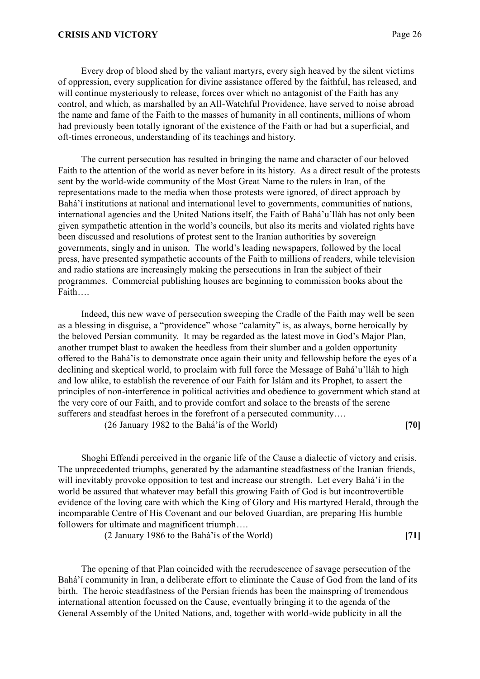Every drop of blood shed by the valiant martyrs, every sigh heaved by the silent victims of oppression, every supplication for divine assistance offered by the faithful, has released, and will continue mysteriously to release, forces over which no antagonist of the Faith has any control, and which, as marshalled by an All-Watchful Providence, have served to noise abroad the name and fame of the Faith to the masses of humanity in all continents, millions of whom had previously been totally ignorant of the existence of the Faith or had but a superficial, and oft-times erroneous, understanding of its teachings and history.

The current persecution has resulted in bringing the name and character of our beloved Faith to the attention of the world as never before in its history. As a direct result of the protests sent by the world-wide community of the Most Great Name to the rulers in Iran, of the representations made to the media when those protests were ignored, of direct approach by Bahá'í institutions at national and international level to governments, communities of nations, international agencies and the United Nations itself, the Faith of Bahá'u'lláh has not only been given sympathetic attention in the world's councils, but also its merits and violated rights have been discussed and resolutions of protest sent to the Iranian authorities by sovereign governments, singly and in unison. The world's leading newspapers, followed by the local press, have presented sympathetic accounts of the Faith to millions of readers, while television and radio stations are increasingly making the persecutions in Iran the subject of their programmes. Commercial publishing houses are beginning to commission books about the Faith….

Indeed, this new wave of persecution sweeping the Cradle of the Faith may well be seen as a blessing in disguise, a "providence" whose "calamity" is, as always, borne heroically by the beloved Persian community. It may be regarded as the latest move in God's Major Plan, another trumpet blast to awaken the heedless from their slumber and a golden opportunity offered to the Bahá'ís to demonstrate once again their unity and fellowship before the eyes of a declining and skeptical world, to proclaim with full force the Message of Bahá'u'lláh to high and low alike, to establish the reverence of our Faith for Islám and its Prophet, to assert the principles of non-interference in political activities and obedience to government which stand at the very core of our Faith, and to provide comfort and solace to the breasts of the serene sufferers and steadfast heroes in the forefront of a persecuted community….

(26 January 1982 to the Bahá'ís of the World) **[70]**

Shoghi Effendi perceived in the organic life of the Cause a dialectic of victory and crisis. The unprecedented triumphs, generated by the adamantine steadfastness of the Iranian friends, will inevitably provoke opposition to test and increase our strength. Let every Bahá'í in the world be assured that whatever may befall this growing Faith of God is but incontrovertible evidence of the loving care with which the King of Glory and His martyred Herald, through the incomparable Centre of His Covenant and our beloved Guardian, are preparing His humble followers for ultimate and magnificent triumph….

(2 January 1986 to the Bahá'ís of the World) **[71]**

The opening of that Plan coincided with the recrudescence of savage persecution of the Bahá'í community in Iran, a deliberate effort to eliminate the Cause of God from the land of its birth. The heroic steadfastness of the Persian friends has been the mainspring of tremendous international attention focussed on the Cause, eventually bringing it to the agenda of the General Assembly of the United Nations, and, together with world-wide publicity in all the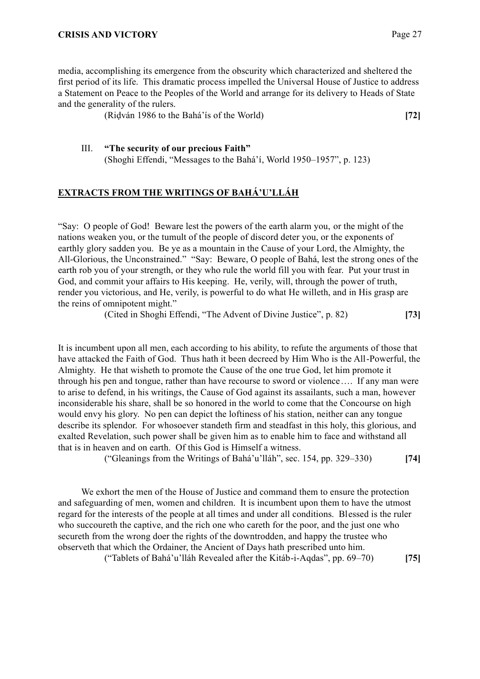media, accomplishing its emergence from the obscurity which characterized and sheltered the first period of its life. This dramatic process impelled the Universal House of Justice to address a Statement on Peace to the Peoples of the World and arrange for its delivery to Heads of State and the generality of the rulers.

(Riḍván 1986 to the Bahá'ís of the World) **[72]**

## III. **"The security of our precious Faith"**

(Shoghi Effendi, "Messages to the Bahá'í, World 1950–1957", p. 123)

# **EXTRACTS FROM THE WRITINGS OF BAHÁ'U'LLÁH**

"Say: O people of God! Beware lest the powers of the earth alarm you, or the might of the nations weaken you, or the tumult of the people of discord deter you, or the exponents of earthly glory sadden you. Be ye as a mountain in the Cause of your Lord, the Almighty, the All-Glorious, the Unconstrained." "Say: Beware, O people of Bahá, lest the strong ones of the earth rob you of your strength, or they who rule the world fill you with fear. Put your trust in God, and commit your affairs to His keeping. He, verily, will, through the power of truth, render you victorious, and He, verily, is powerful to do what He willeth, and in His grasp are the reins of omnipotent might."

(Cited in Shoghi Effendi, "The Advent of Divine Justice", p. 82) **[73]**

It is incumbent upon all men, each according to his ability, to refute the arguments of those that have attacked the Faith of God. Thus hath it been decreed by Him Who is the All-Powerful, the Almighty. He that wisheth to promote the Cause of the one true God, let him promote it through his pen and tongue, rather than have recourse to sword or violence…. If any man were to arise to defend, in his writings, the Cause of God against its assailants, such a man, however inconsiderable his share, shall be so honored in the world to come that the Concourse on high would envy his glory. No pen can depict the loftiness of his station, neither can any tongue describe its splendor. For whosoever standeth firm and steadfast in this holy, this glorious, and exalted Revelation, such power shall be given him as to enable him to face and withstand all that is in heaven and on earth. Of this God is Himself a witness.

("Gleanings from the Writings of Bahá'u'lláh", sec. 154, pp. 329–330) **[74]**

We exhort the men of the House of Justice and command them to ensure the protection and safeguarding of men, women and children. It is incumbent upon them to have the utmost regard for the interests of the people at all times and under all conditions. Blessed is the ruler who succoureth the captive, and the rich one who careth for the poor, and the just one who secureth from the wrong doer the rights of the downtrodden, and happy the trustee who observeth that which the Ordainer, the Ancient of Days hath prescribed unto him.

("Tablets of Bahá'u'lláh Revealed after the Kitáb-i-Aqdas", pp. 69–70) **[75]**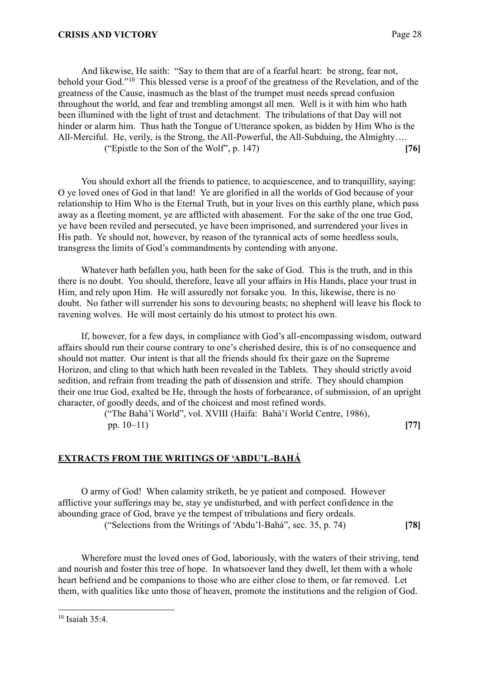And likewise, He saith: "Say to them that are of a fearful heart: be strong, fear not, behold your God."<sup>10</sup> This blessed verse is a proof of the greatness of the Revelation, and of the greatness of the Cause, inasmuch as the blast of the trumpet must needs spread confusion throughout the world, and fear and trembling amongst all men. Well is it with him who hath been illumined with the light of trust and detachment. The tribulations of that Day will not hinder or alarm him. Thus hath the Tongue of Utterance spoken, as bidden by Him Who is the All-Merciful. He, verily, is the Strong, the All-Powerful, the All-Subduing, the Almighty…. ("Epistle to the Son of the Wolf", p. 147) **[76]**

You should exhort all the friends to patience, to acquiescence, and to tranquillity, saying: O ye loved ones of God in that land! Ye are glorified in all the worlds of God because of your relationship to Him Who is the Eternal Truth, but in your lives on this earthly plane, which pass away as a fleeting moment, ye are afflicted with abasement. For the sake of the one true God, ye have been reviled and persecuted, ye have been imprisoned, and surrendered your lives in His path. Ye should not, however, by reason of the tyrannical acts of some heedless souls, transgress the limits of God's commandments by contending with anyone.

Whatever hath befallen you, hath been for the sake of God. This is the truth, and in this there is no doubt. You should, therefore, leave all your affairs in His Hands, place your trust in Him, and rely upon Him. He will assuredly not forsake you. In this, likewise, there is no doubt. No father will surrender his sons to devouring beasts; no shepherd will leave his flock to ravening wolves. He will most certainly do his utmost to protect his own.

If, however, for a few days, in compliance with God's all-encompassing wisdom, outward affairs should run their course contrary to one's cherished desire, this is of no consequence and should not matter. Our intent is that all the friends should fix their gaze on the Supreme Horizon, and cling to that which hath been revealed in the Tablets. They should strictly avoid sedition, and refrain from treading the path of dissension and strife. They should champion their one true God, exalted be He, through the hosts of forbearance, of submission, of an upright character, of goodly deeds, and of the choicest and most refined words.

> ("The Bahá'í World", vol. XVIII (Haifa: Bahá'í World Centre, 1986), pp. 10–11) **[77]**

#### **EXTRACTS FROM THE WRITINGS OF 'ABDU'L-BAHÁ**

O army of God! When calamity striketh, be ye patient and composed. However afflictive your sufferings may be, stay ye undisturbed, and with perfect confidence in the abounding grace of God, brave ye the tempest of tribulations and fiery ordeals. ("Selections from the Writings of 'Abdu'l-Bahá", sec. 35, p. 74) **[78]**

Wherefore must the loved ones of God, laboriously, with the waters of their striving, tend and nourish and foster this tree of hope. In whatsoever land they dwell, let them with a whole heart befriend and be companions to those who are either close to them, or far removed. Let them, with qualities like unto those of heaven, promote the institutions and the religion of God.

<sup>10</sup> Isaiah 35:4.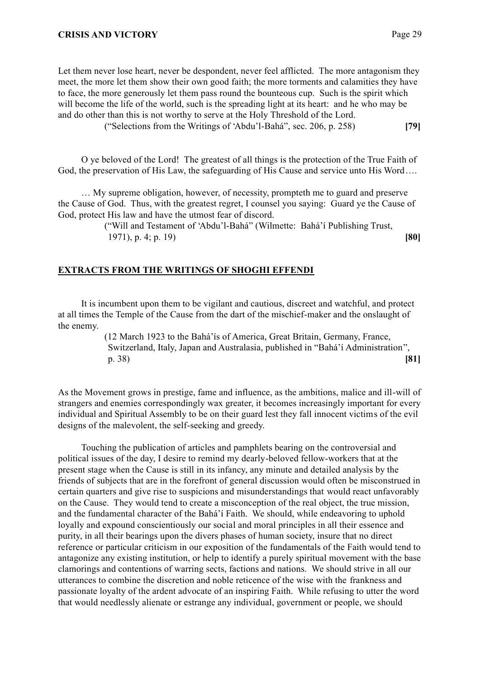Let them never lose heart, never be despondent, never feel afflicted. The more antagonism they meet, the more let them show their own good faith; the more torments and calamities they have to face, the more generously let them pass round the bounteous cup. Such is the spirit which will become the life of the world, such is the spreading light at its heart: and he who may be and do other than this is not worthy to serve at the Holy Threshold of the Lord.

("Selections from the Writings of 'Abdu'l-Bahá", sec. 206, p. 258) **[79]**

O ye beloved of the Lord! The greatest of all things is the protection of the True Faith of God, the preservation of His Law, the safeguarding of His Cause and service unto His Word….

… My supreme obligation, however, of necessity, prompteth me to guard and preserve the Cause of God. Thus, with the greatest regret, I counsel you saying: Guard ye the Cause of God, protect His law and have the utmost fear of discord.

> ("Will and Testament of 'Abdu'l-Bahá" (Wilmette: Bahá'í Publishing Trust, 1971), p. 4; p. 19) **[80]**

# **EXTRACTS FROM THE WRITINGS OF SHOGHI EFFENDI**

It is incumbent upon them to be vigilant and cautious, discreet and watchful, and protect at all times the Temple of the Cause from the dart of the mischief-maker and the onslaught of the enemy.

> (12 March 1923 to the Bahá'ís of America, Great Britain, Germany, France, Switzerland, Italy, Japan and Australasia, published in "Bahá'í Administration", p. 38) **[81]**

As the Movement grows in prestige, fame and influence, as the ambitions, malice and ill-will of strangers and enemies correspondingly wax greater, it becomes increasingly important for every individual and Spiritual Assembly to be on their guard lest they fall innocent victims of the evil designs of the malevolent, the self-seeking and greedy.

Touching the publication of articles and pamphlets bearing on the controversial and political issues of the day, I desire to remind my dearly-beloved fellow-workers that at the present stage when the Cause is still in its infancy, any minute and detailed analysis by the friends of subjects that are in the forefront of general discussion would often be misconstrued in certain quarters and give rise to suspicions and misunderstandings that would react unfavorably on the Cause. They would tend to create a misconception of the real object, the true mission, and the fundamental character of the Bahá'í Faith. We should, while endeavoring to uphold loyally and expound conscientiously our social and moral principles in all their essence and purity, in all their bearings upon the divers phases of human society, insure that no direct reference or particular criticism in our exposition of the fundamentals of the Faith would tend to antagonize any existing institution, or help to identify a purely spiritual movement with the base clamorings and contentions of warring sects, factions and nations. We should strive in all our utterances to combine the discretion and noble reticence of the wise with the frankness and passionate loyalty of the ardent advocate of an inspiring Faith. While refusing to utter the word that would needlessly alienate or estrange any individual, government or people, we should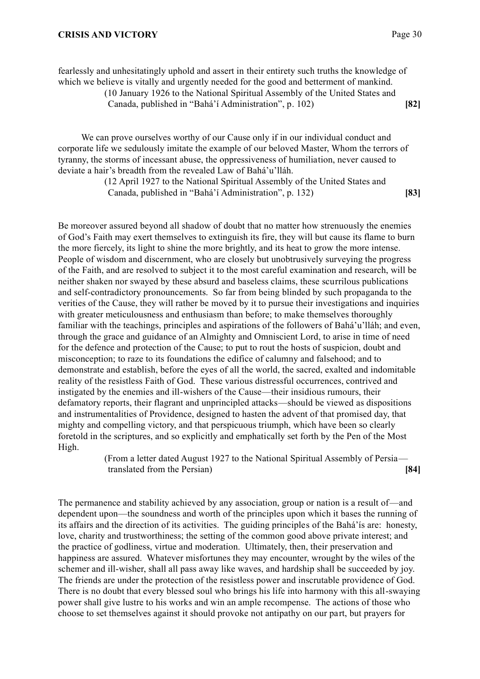fearlessly and unhesitatingly uphold and assert in their entirety such truths the knowledge of which we believe is vitally and urgently needed for the good and betterment of mankind.

(10 January 1926 to the National Spiritual Assembly of the United States and Canada, published in "Bahá'í Administration", p. 102) **[82]**

We can prove ourselves worthy of our Cause only if in our individual conduct and corporate life we sedulously imitate the example of our beloved Master, Whom the terrors of tyranny, the storms of incessant abuse, the oppressiveness of humiliation, never caused to deviate a hair's breadth from the revealed Law of Bahá'u'lláh.

> (12 April 1927 to the National Spiritual Assembly of the United States and Canada, published in "Bahá'í Administration", p. 132) **[83]**

Be moreover assured beyond all shadow of doubt that no matter how strenuously the enemies of God's Faith may exert themselves to extinguish its fire, they will but cause its flame to burn the more fiercely, its light to shine the more brightly, and its heat to grow the more intense. People of wisdom and discernment, who are closely but unobtrusively surveying the progress of the Faith, and are resolved to subject it to the most careful examination and research, will be neither shaken nor swayed by these absurd and baseless claims, these scurrilous publications and self-contradictory pronouncements. So far from being blinded by such propaganda to the verities of the Cause, they will rather be moved by it to pursue their investigations and inquiries with greater meticulousness and enthusiasm than before; to make themselves thoroughly familiar with the teachings, principles and aspirations of the followers of Bahá'u'lláh; and even, through the grace and guidance of an Almighty and Omniscient Lord, to arise in time of need for the defence and protection of the Cause; to put to rout the hosts of suspicion, doubt and misconception; to raze to its foundations the edifice of calumny and falsehood; and to demonstrate and establish, before the eyes of all the world, the sacred, exalted and indomitable reality of the resistless Faith of God. These various distressful occurrences, contrived and instigated by the enemies and ill-wishers of the Cause—their insidious rumours, their defamatory reports, their flagrant and unprincipled attacks—should be viewed as dispositions and instrumentalities of Providence, designed to hasten the advent of that promised day, that mighty and compelling victory, and that perspicuous triumph, which have been so clearly foretold in the scriptures, and so explicitly and emphatically set forth by the Pen of the Most High.

> (From a letter dated August 1927 to the National Spiritual Assembly of Persia translated from the Persian) **[84]**

The permanence and stability achieved by any association, group or nation is a result of—and dependent upon—the soundness and worth of the principles upon which it bases the running of its affairs and the direction of its activities. The guiding principles of the Bahá'ís are: honesty, love, charity and trustworthiness; the setting of the common good above private interest; and the practice of godliness, virtue and moderation. Ultimately, then, their preservation and happiness are assured. Whatever misfortunes they may encounter, wrought by the wiles of the schemer and ill-wisher, shall all pass away like waves, and hardship shall be succeeded by joy. The friends are under the protection of the resistless power and inscrutable providence of God. There is no doubt that every blessed soul who brings his life into harmony with this all-swaying power shall give lustre to his works and win an ample recompense. The actions of those who choose to set themselves against it should provoke not antipathy on our part, but prayers for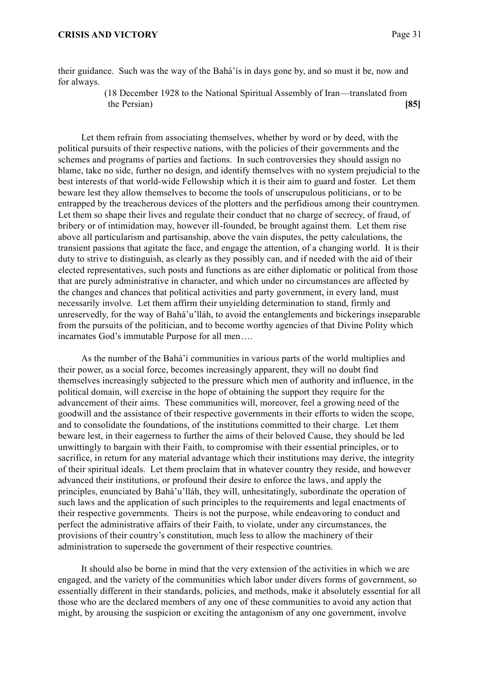their guidance. Such was the way of the Bahá'ís in days gone by, and so must it be, now and for always.

> (18 December 1928 to the National Spiritual Assembly of Iran—translated from the Persian) **[85] [85]**

Let them refrain from associating themselves, whether by word or by deed, with the political pursuits of their respective nations, with the policies of their governments and the schemes and programs of parties and factions. In such controversies they should assign no blame, take no side, further no design, and identify themselves with no system prejudicial to the best interests of that world-wide Fellowship which it is their aim to guard and foster. Let them beware lest they allow themselves to become the tools of unscrupulous politicians, or to be entrapped by the treacherous devices of the plotters and the perfidious among their countrymen. Let them so shape their lives and regulate their conduct that no charge of secrecy, of fraud, of bribery or of intimidation may, however ill-founded, be brought against them. Let them rise above all particularism and partisanship, above the vain disputes, the petty calculations, the transient passions that agitate the face, and engage the attention, of a changing world. It is their duty to strive to distinguish, as clearly as they possibly can, and if needed with the aid of their elected representatives, such posts and functions as are either diplomatic or political from those that are purely administrative in character, and which under no circumstances are affected by the changes and chances that political activities and party government, in every land, must necessarily involve. Let them affirm their unyielding determination to stand, firmly and unreservedly, for the way of Bahá'u'lláh, to avoid the entanglements and bickerings inseparable from the pursuits of the politician, and to become worthy agencies of that Divine Polity which incarnates God's immutable Purpose for all men….

As the number of the Bahá'í communities in various parts of the world multiplies and their power, as a social force, becomes increasingly apparent, they will no doubt find themselves increasingly subjected to the pressure which men of authority and influence, in the political domain, will exercise in the hope of obtaining the support they require for the advancement of their aims. These communities will, moreover, feel a growing need of the goodwill and the assistance of their respective governments in their efforts to widen the scope, and to consolidate the foundations, of the institutions committed to their charge. Let them beware lest, in their eagerness to further the aims of their beloved Cause, they should be led unwittingly to bargain with their Faith, to compromise with their essential principles, or to sacrifice, in return for any material advantage which their institutions may derive, the integrity of their spiritual ideals. Let them proclaim that in whatever country they reside, and however advanced their institutions, or profound their desire to enforce the laws, and apply the principles, enunciated by Bahá'u'lláh, they will, unhesitatingly, subordinate the operation of such laws and the application of such principles to the requirements and legal enactments of their respective governments. Theirs is not the purpose, while endeavoring to conduct and perfect the administrative affairs of their Faith, to violate, under any circumstances, the provisions of their country's constitution, much less to allow the machinery of their administration to supersede the government of their respective countries.

It should also be borne in mind that the very extension of the activities in which we are engaged, and the variety of the communities which labor under divers forms of government, so essentially different in their standards, policies, and methods, make it absolutely essential for all those who are the declared members of any one of these communities to avoid any action that might, by arousing the suspicion or exciting the antagonism of any one government, involve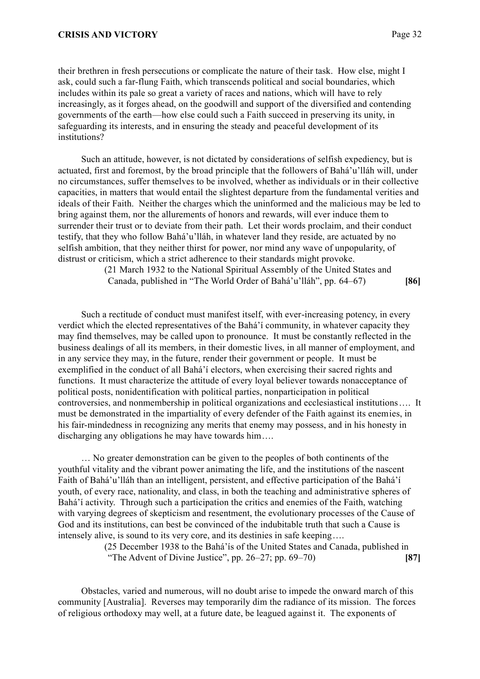their brethren in fresh persecutions or complicate the nature of their task. How else, might I ask, could such a far-flung Faith, which transcends political and social boundaries, which includes within its pale so great a variety of races and nations, which will have to rely increasingly, as it forges ahead, on the goodwill and support of the diversified and contending governments of the earth—how else could such a Faith succeed in preserving its unity, in safeguarding its interests, and in ensuring the steady and peaceful development of its institutions?

Such an attitude, however, is not dictated by considerations of selfish expediency, but is actuated, first and foremost, by the broad principle that the followers of Bahá'u'lláh will, under no circumstances, suffer themselves to be involved, whether as individuals or in their collective capacities, in matters that would entail the slightest departure from the fundamental verities and ideals of their Faith. Neither the charges which the uninformed and the malicious may be led to bring against them, nor the allurements of honors and rewards, will ever induce them to surrender their trust or to deviate from their path. Let their words proclaim, and their conduct testify, that they who follow Bahá'u'lláh, in whatever land they reside, are actuated by no selfish ambition, that they neither thirst for power, nor mind any wave of unpopularity, of distrust or criticism, which a strict adherence to their standards might provoke.

> (21 March 1932 to the National Spiritual Assembly of the United States and Canada, published in "The World Order of Bahá'u'lláh", pp. 64–67) **[86]**

Such a rectitude of conduct must manifest itself, with ever-increasing potency, in every verdict which the elected representatives of the Bahá'í community, in whatever capacity they may find themselves, may be called upon to pronounce. It must be constantly reflected in the business dealings of all its members, in their domestic lives, in all manner of employment, and in any service they may, in the future, render their government or people. It must be exemplified in the conduct of all Bahá'í electors, when exercising their sacred rights and functions. It must characterize the attitude of every loyal believer towards nonacceptance of political posts, nonidentification with political parties, nonparticipation in political controversies, and nonmembership in political organizations and ecclesiastical institutions…. It must be demonstrated in the impartiality of every defender of the Faith against its enemies, in his fair-mindedness in recognizing any merits that enemy may possess, and in his honesty in discharging any obligations he may have towards him….

… No greater demonstration can be given to the peoples of both continents of the youthful vitality and the vibrant power animating the life, and the institutions of the nascent Faith of Bahá'u'lláh than an intelligent, persistent, and effective participation of the Bahá'í youth, of every race, nationality, and class, in both the teaching and administrative spheres of Bahá'í activity. Through such a participation the critics and enemies of the Faith, watching with varying degrees of skepticism and resentment, the evolutionary processes of the Cause of God and its institutions, can best be convinced of the indubitable truth that such a Cause is intensely alive, is sound to its very core, and its destinies in safe keeping….

> (25 December 1938 to the Bahá'ís of the United States and Canada, published in "The Advent of Divine Justice", pp. 26–27; pp. 69–70) **[87]**

Obstacles, varied and numerous, will no doubt arise to impede the onward march of this community [Australia]. Reverses may temporarily dim the radiance of its mission. The forces of religious orthodoxy may well, at a future date, be leagued against it. The exponents of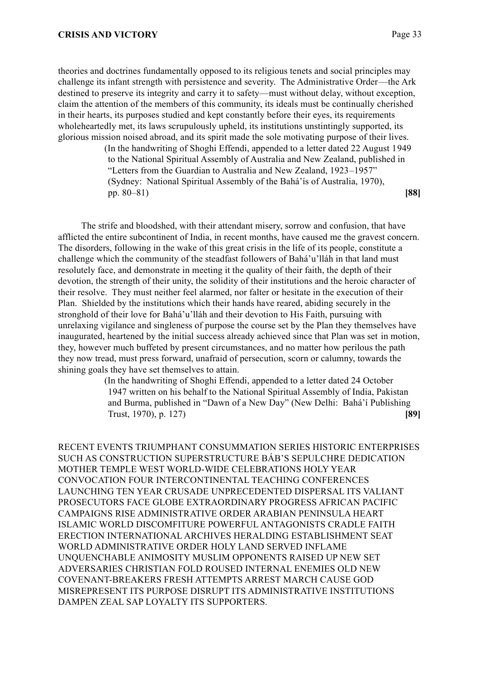theories and doctrines fundamentally opposed to its religious tenets and social principles may challenge its infant strength with persistence and severity. The Administrative Order—the Ark destined to preserve its integrity and carry it to safety—must without delay, without exception, claim the attention of the members of this community, its ideals must be continually cherished in their hearts, its purposes studied and kept constantly before their eyes, its requirements wholeheartedly met, its laws scrupulously upheld, its institutions unstintingly supported, its glorious mission noised abroad, and its spirit made the sole motivating purpose of their lives.

> (In the handwriting of Shoghi Effendi, appended to a letter dated 22 August 1949 to the National Spiritual Assembly of Australia and New Zealand, published in "Letters from the Guardian to Australia and New Zealand, 1923–1957" (Sydney: National Spiritual Assembly of the Bahá'ís of Australia, 1970), pp. 80–81) **[88]**

The strife and bloodshed, with their attendant misery, sorrow and confusion, that have afflicted the entire subcontinent of India, in recent months, have caused me the gravest concern. The disorders, following in the wake of this great crisis in the life of its people, constitute a challenge which the community of the steadfast followers of Bahá'u'lláh in that land must resolutely face, and demonstrate in meeting it the quality of their faith, the depth of their devotion, the strength of their unity, the solidity of their institutions and the heroic character of their resolve. They must neither feel alarmed, nor falter or hesitate in the execution of their Plan. Shielded by the institutions which their hands have reared, abiding securely in the stronghold of their love for Bahá'u'lláh and their devotion to His Faith, pursuing with unrelaxing vigilance and singleness of purpose the course set by the Plan they themselves have inaugurated, heartened by the initial success already achieved since that Plan was set in motion, they, however much buffeted by present circumstances, and no matter how perilous the path they now tread, must press forward, unafraid of persecution, scorn or calumny, towards the shining goals they have set themselves to attain.

> (In the handwriting of Shoghi Effendi, appended to a letter dated 24 October 1947 written on his behalf to the National Spiritual Assembly of India, Pakistan and Burma, published in "Dawn of a New Day" (New Delhi: Bahá'í Publishing Trust, 1970), p. 127) **[89]**

RECENT EVENTS TRIUMPHANT CONSUMMATION SERIES HISTORIC ENTERPRISES SUCH AS CONSTRUCTION SUPERSTRUCTURE BÁB'S SEPULCHRE DEDICATION MOTHER TEMPLE WEST WORLD-WIDE CELEBRATIONS HOLY YEAR CONVOCATION FOUR INTERCONTINENTAL TEACHING CONFERENCES LAUNCHING TEN YEAR CRUSADE UNPRECEDENTED DISPERSAL ITS VALIANT PROSECUTORS FACE GLOBE EXTRAORDINARY PROGRESS AFRICAN PACIFIC CAMPAIGNS RISE ADMINISTRATIVE ORDER ARABIAN PENINSULA HEART ISLAMIC WORLD DISCOMFITURE POWERFUL ANTAGONISTS CRADLE FAITH ERECTION INTERNATIONAL ARCHIVES HERALDING ESTABLISHMENT SEAT WORLD ADMINISTRATIVE ORDER HOLY LAND SERVED INFLAME UNQUENCHABLE ANIMOSITY MUSLIM OPPONENTS RAISED UP NEW SET ADVERSARIES CHRISTIAN FOLD ROUSED INTERNAL ENEMIES OLD NEW COVENANT-BREAKERS FRESH ATTEMPTS ARREST MARCH CAUSE GOD MISREPRESENT ITS PURPOSE DISRUPT ITS ADMINISTRATIVE INSTITUTIONS DAMPEN ZEAL SAP LOYALTY ITS SUPPORTERS.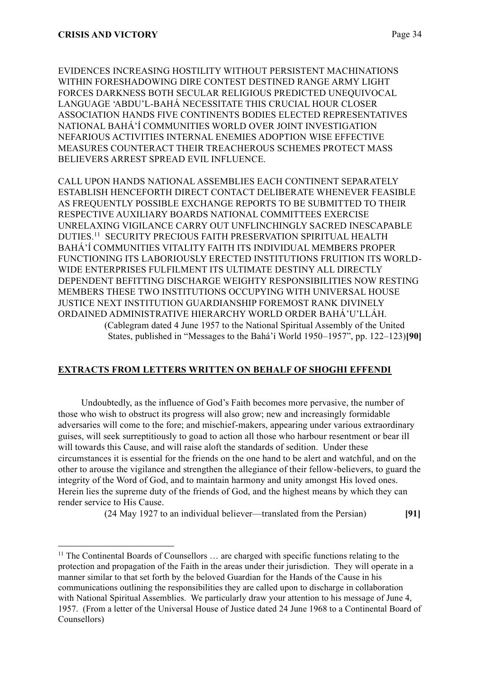EVIDENCES INCREASING HOSTILITY WITHOUT PERSISTENT MACHINATIONS WITHIN FORESHADOWING DIRE CONTEST DESTINED RANGE ARMY LIGHT FORCES DARKNESS BOTH SECULAR RELIGIOUS PREDICTED UNEQUIVOCAL LANGUAGE 'ABDU'L-BAHÁ NECESSITATE THIS CRUCIAL HOUR CLOSER ASSOCIATION HANDS FIVE CONTINENTS BODIES ELECTED REPRESENTATIVES NATIONAL BAHÁ'Í COMMUNITIES WORLD OVER JOINT INVESTIGATION NEFARIOUS ACTIVITIES INTERNAL ENEMIES ADOPTION WISE EFFECTIVE MEASURES COUNTERACT THEIR TREACHEROUS SCHEMES PROTECT MASS BELIEVERS ARREST SPREAD EVIL INFLUENCE.

CALL UPON HANDS NATIONAL ASSEMBLIES EACH CONTINENT SEPARATELY ESTABLISH HENCEFORTH DIRECT CONTACT DELIBERATE WHENEVER FEASIBLE AS FREQUENTLY POSSIBLE EXCHANGE REPORTS TO BE SUBMITTED TO THEIR RESPECTIVE AUXILIARY BOARDS NATIONAL COMMITTEES EXERCISE UNRELAXING VIGILANCE CARRY OUT UNFLINCHINGLY SACRED INESCAPABLE DUTIES.<sup>11</sup> SECURITY PRECIOUS FAITH PRESERVATION SPIRITUAL HEALTH BAHÁ'Í COMMUNITIES VITALITY FAITH ITS INDIVIDUAL MEMBERS PROPER FUNCTIONING ITS LABORIOUSLY ERECTED INSTITUTIONS FRUITION ITS WORLD-WIDE ENTERPRISES FULFILMENT ITS ULTIMATE DESTINY ALL DIRECTLY DEPENDENT BEFITTING DISCHARGE WEIGHTY RESPONSIBILITIES NOW RESTING MEMBERS THESE TWO INSTITUTIONS OCCUPYING WITH UNIVERSAL HOUSE JUSTICE NEXT INSTITUTION GUARDIANSHIP FOREMOST RANK DIVINELY ORDAINED ADMINISTRATIVE HIERARCHY WORLD ORDER BAHÁ'U'LLÁH. (Cablegram dated 4 June 1957 to the National Spiritual Assembly of the United States, published in "Messages to the Bahá'í World 1950–1957", pp. 122–123)**[90]**

# **EXTRACTS FROM LETTERS WRITTEN ON BEHALF OF SHOGHI EFFENDI**

Undoubtedly, as the influence of God's Faith becomes more pervasive, the number of those who wish to obstruct its progress will also grow; new and increasingly formidable adversaries will come to the fore; and mischief-makers, appearing under various extraordinary guises, will seek surreptitiously to goad to action all those who harbour resentment or bear ill will towards this Cause, and will raise aloft the standards of sedition. Under these circumstances it is essential for the friends on the one hand to be alert and watchful, and on the other to arouse the vigilance and strengthen the allegiance of their fellow-believers, to guard the integrity of the Word of God, and to maintain harmony and unity amongst His loved ones. Herein lies the supreme duty of the friends of God, and the highest means by which they can render service to His Cause.

(24 May 1927 to an individual believer—translated from the Persian) **[91]**

 $11$  The Continental Boards of Counsellors  $\ldots$  are charged with specific functions relating to the protection and propagation of the Faith in the areas under their jurisdiction. They will operate in a manner similar to that set forth by the beloved Guardian for the Hands of the Cause in his communications outlining the responsibilities they are called upon to discharge in collaboration with National Spiritual Assemblies. We particularly draw your attention to his message of June 4, 1957. (From a letter of the Universal House of Justice dated 24 June 1968 to a Continental Board of Counsellors)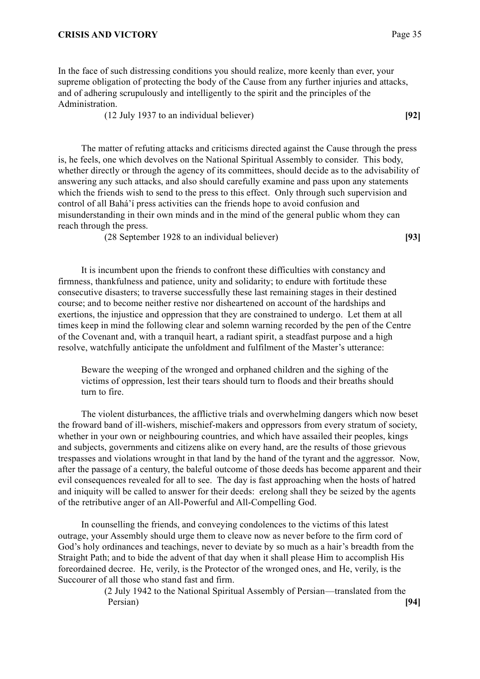In the face of such distressing conditions you should realize, more keenly than ever, your supreme obligation of protecting the body of the Cause from any further injuries and attacks, and of adhering scrupulously and intelligently to the spirit and the principles of the Administration.

(12 July 1937 to an individual believer) **[92]**

The matter of refuting attacks and criticisms directed against the Cause through the press is, he feels, one which devolves on the National Spiritual Assembly to consider. This body, whether directly or through the agency of its committees, should decide as to the advisability of answering any such attacks, and also should carefully examine and pass upon any statements which the friends wish to send to the press to this effect. Only through such supervision and control of all Bahá'í press activities can the friends hope to avoid confusion and misunderstanding in their own minds and in the mind of the general public whom they can reach through the press.

(28 September 1928 to an individual believer) **[93]**

It is incumbent upon the friends to confront these difficulties with constancy and firmness, thankfulness and patience, unity and solidarity; to endure with fortitude these consecutive disasters; to traverse successfully these last remaining stages in their destined course; and to become neither restive nor disheartened on account of the hardships and exertions, the injustice and oppression that they are constrained to undergo. Let them at all times keep in mind the following clear and solemn warning recorded by the pen of the Centre of the Covenant and, with a tranquil heart, a radiant spirit, a steadfast purpose and a high resolve, watchfully anticipate the unfoldment and fulfilment of the Master's utterance:

Beware the weeping of the wronged and orphaned children and the sighing of the victims of oppression, lest their tears should turn to floods and their breaths should turn to fire.

The violent disturbances, the afflictive trials and overwhelming dangers which now beset the froward band of ill-wishers, mischief-makers and oppressors from every stratum of society, whether in your own or neighbouring countries, and which have assailed their peoples, kings and subjects, governments and citizens alike on every hand, are the results of those grievous trespasses and violations wrought in that land by the hand of the tyrant and the aggressor. Now, after the passage of a century, the baleful outcome of those deeds has become apparent and their evil consequences revealed for all to see. The day is fast approaching when the hosts of hatred and iniquity will be called to answer for their deeds: erelong shall they be seized by the agents of the retributive anger of an All-Powerful and All-Compelling God.

In counselling the friends, and conveying condolences to the victims of this latest outrage, your Assembly should urge them to cleave now as never before to the firm cord of God's holy ordinances and teachings, never to deviate by so much as a hair's breadth from the Straight Path; and to bide the advent of that day when it shall please Him to accomplish His foreordained decree. He, verily, is the Protector of the wronged ones, and He, verily, is the Succourer of all those who stand fast and firm.

> (2 July 1942 to the National Spiritual Assembly of Persian—translated from the Persian) **[94]**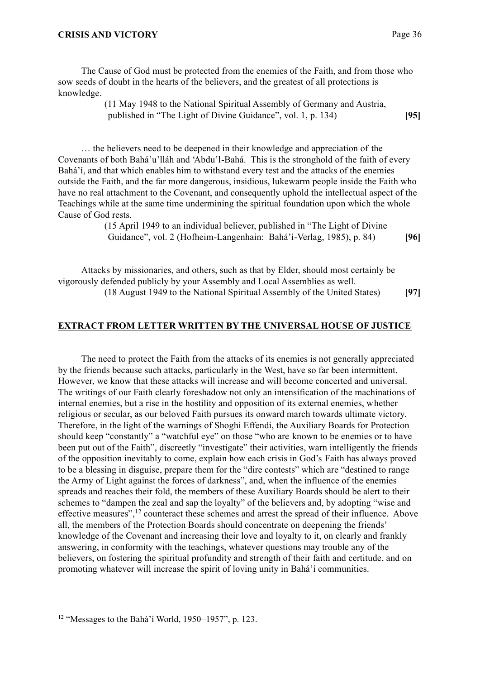The Cause of God must be protected from the enemies of the Faith, and from those who sow seeds of doubt in the hearts of the believers, and the greatest of all protections is knowledge.

> (11 May 1948 to the National Spiritual Assembly of Germany and Austria, published in "The Light of Divine Guidance", vol. 1, p. 134) **[95]**

… the believers need to be deepened in their knowledge and appreciation of the Covenants of both Bahá'u'lláh and 'Abdu'l-Bahá. This is the stronghold of the faith of every Bahá'í, and that which enables him to withstand every test and the attacks of the enemies outside the Faith, and the far more dangerous, insidious, lukewarm people inside the Faith who have no real attachment to the Covenant, and consequently uphold the intellectual aspect of the Teachings while at the same time undermining the spiritual foundation upon which the whole Cause of God rests.

(15 April 1949 to an individual believer, published in "The Light of Divine Guidance", vol. 2 (Hofheim-Langenhain: Bahá'í-Verlag, 1985), p. 84) **[96]**

Attacks by missionaries, and others, such as that by Elder, should most certainly be vigorously defended publicly by your Assembly and Local Assemblies as well. (18 August 1949 to the National Spiritual Assembly of the United States) **[97]**

# **EXTRACT FROM LETTER WRITTEN BY THE UNIVERSAL HOUSE OF JUSTICE**

The need to protect the Faith from the attacks of its enemies is not generally appreciated by the friends because such attacks, particularly in the West, have so far been intermittent. However, we know that these attacks will increase and will become concerted and universal. The writings of our Faith clearly foreshadow not only an intensification of the machinations of internal enemies, but a rise in the hostility and opposition of its external enemies, whether religious or secular, as our beloved Faith pursues its onward march towards ultimate victory. Therefore, in the light of the warnings of Shoghi Effendi, the Auxiliary Boards for Protection should keep "constantly" a "watchful eye" on those "who are known to be enemies or to have been put out of the Faith", discreetly "investigate" their activities, warn intelligently the friends of the opposition inevitably to come, explain how each crisis in God's Faith has always proved to be a blessing in disguise, prepare them for the "dire contests" which are "destined to range the Army of Light against the forces of darkness", and, when the influence of the enemies spreads and reaches their fold, the members of these Auxiliary Boards should be alert to their schemes to "dampen the zeal and sap the loyalty" of the believers and, by adopting "wise and effective measures",<sup>12</sup> counteract these schemes and arrest the spread of their influence. Above all, the members of the Protection Boards should concentrate on deepening the friends' knowledge of the Covenant and increasing their love and loyalty to it, on clearly and frankly answering, in conformity with the teachings, whatever questions may trouble any of the believers, on fostering the spiritual profundity and strength of their faith and certitude, and on promoting whatever will increase the spirit of loving unity in Bahá'í communities.

<sup>12</sup> "Messages to the Bahá'í World, 1950–1957", p. 123.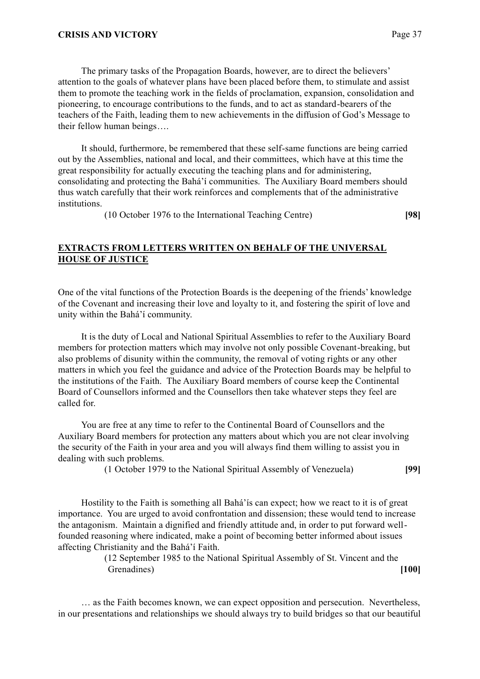The primary tasks of the Propagation Boards, however, are to direct the believers' attention to the goals of whatever plans have been placed before them, to stimulate and assist them to promote the teaching work in the fields of proclamation, expansion, consolidation and pioneering, to encourage contributions to the funds, and to act as standard-bearers of the teachers of the Faith, leading them to new achievements in the diffusion of God's Message to their fellow human beings….

It should, furthermore, be remembered that these self-same functions are being carried out by the Assemblies, national and local, and their committees, which have at this time the great responsibility for actually executing the teaching plans and for administering, consolidating and protecting the Bahá'í communities. The Auxiliary Board members should thus watch carefully that their work reinforces and complements that of the administrative institutions.

(10 October 1976 to the International Teaching Centre) **[98]**

# **EXTRACTS FROM LETTERS WRITTEN ON BEHALF OF THE UNIVERSAL HOUSE OF JUSTICE**

One of the vital functions of the Protection Boards is the deepening of the friends' knowledge of the Covenant and increasing their love and loyalty to it, and fostering the spirit of love and unity within the Bahá'í community.

It is the duty of Local and National Spiritual Assemblies to refer to the Auxiliary Board members for protection matters which may involve not only possible Covenant-breaking, but also problems of disunity within the community, the removal of voting rights or any other matters in which you feel the guidance and advice of the Protection Boards may be helpful to the institutions of the Faith. The Auxiliary Board members of course keep the Continental Board of Counsellors informed and the Counsellors then take whatever steps they feel are called for.

You are free at any time to refer to the Continental Board of Counsellors and the Auxiliary Board members for protection any matters about which you are not clear involving the security of the Faith in your area and you will always find them willing to assist you in dealing with such problems.

(1 October 1979 to the National Spiritual Assembly of Venezuela) **[99]**

Hostility to the Faith is something all Bahá'ís can expect; how we react to it is of great importance. You are urged to avoid confrontation and dissension; these would tend to increase the antagonism. Maintain a dignified and friendly attitude and, in order to put forward wellfounded reasoning where indicated, make a point of becoming better informed about issues affecting Christianity and the Bahá'í Faith.

> (12 September 1985 to the National Spiritual Assembly of St. Vincent and the Grenadines) **[100]**

… as the Faith becomes known, we can expect opposition and persecution. Nevertheless, in our presentations and relationships we should always try to build bridges so that our beautiful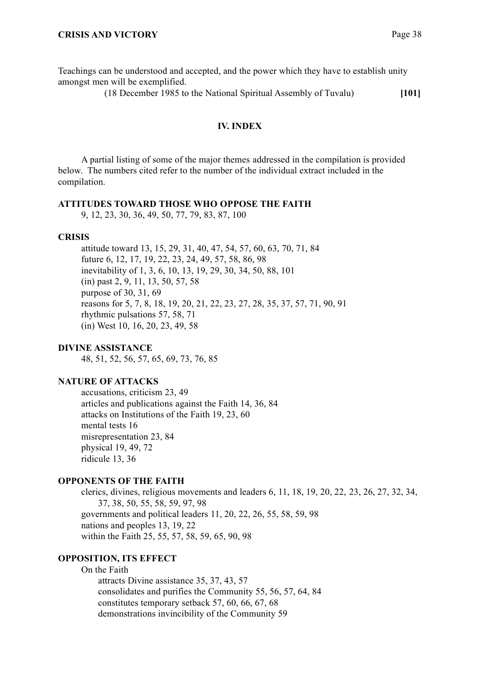Teachings can be understood and accepted, and the power which they have to establish unity amongst men will be exemplified.

(18 December 1985 to the National Spiritual Assembly of Tuvalu) **[101]**

#### **IV. INDEX**

A partial listing of some of the major themes addressed in the compilation is provided below. The numbers cited refer to the number of the individual extract included in the compilation.

#### **ATTITUDES TOWARD THOSE WHO OPPOSE THE FAITH**

9, 12, 23, 30, 36, 49, 50, 77, 79, 83, 87, 100

#### **CRISIS**

attitude toward 13, 15, 29, 31, 40, 47, 54, 57, 60, 63, 70, 71, 84 future 6, 12, 17, 19, 22, 23, 24, 49, 57, 58, 86, 98 inevitability of 1, 3, 6, 10, 13, 19, 29, 30, 34, 50, 88, 101 (in) past 2, 9, 11, 13, 50, 57, 58 purpose of 30, 31, 69 reasons for 5, 7, 8, 18, 19, 20, 21, 22, 23, 27, 28, 35, 37, 57, 71, 90, 91 rhythmic pulsations 57, 58, 71 (in) West 10, 16, 20, 23, 49, 58

#### **DIVINE ASSISTANCE**

48, 51, 52, 56, 57, 65, 69, 73, 76, 85

#### **NATURE OF ATTACKS**

accusations, criticism 23, 49 articles and publications against the Faith 14, 36, 84 attacks on Institutions of the Faith 19, 23, 60 mental tests 16 misrepresentation 23, 84 physical 19, 49, 72 ridicule 13, 36

# **OPPONENTS OF THE FAITH**

clerics, divines, religious movements and leaders 6, 11, 18, 19, 20, 22, 23, 26, 27, 32, 34, 37, 38, 50, 55, 58, 59, 97, 98 governments and political leaders 11, 20, 22, 26, 55, 58, 59, 98 nations and peoples 13, 19, 22 within the Faith 25, 55, 57, 58, 59, 65, 90, 98

#### **OPPOSITION, ITS EFFECT**

## On the Faith

attracts Divine assistance 35, 37, 43, 57 consolidates and purifies the Community 55, 56, 57, 64, 84 constitutes temporary setback 57, 60, 66, 67, 68 demonstrations invincibility of the Community 59